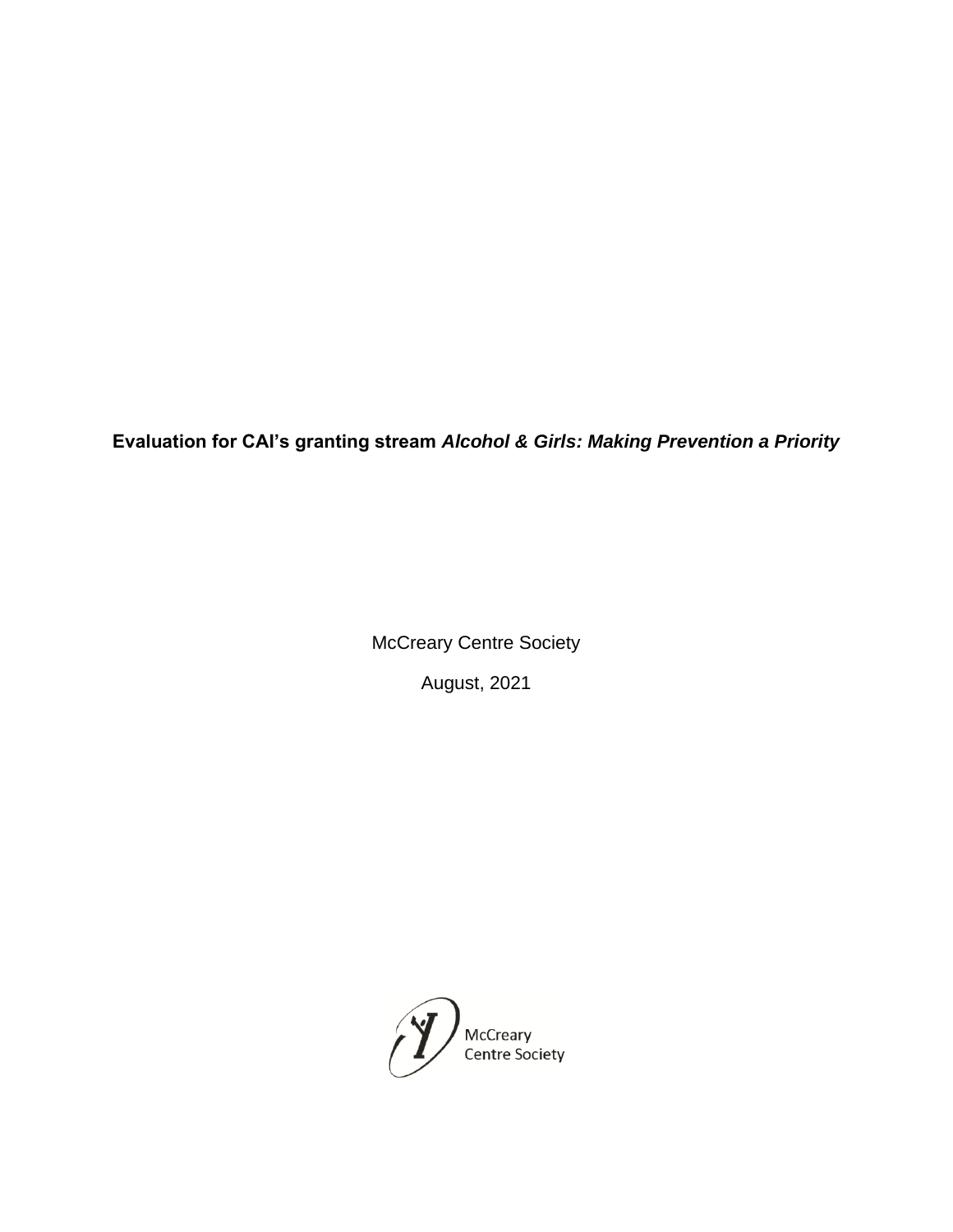**Evaluation for CAI's granting stream** *Alcohol & Girls: Making Prevention a Priority*

McCreary Centre Society

August, 2021

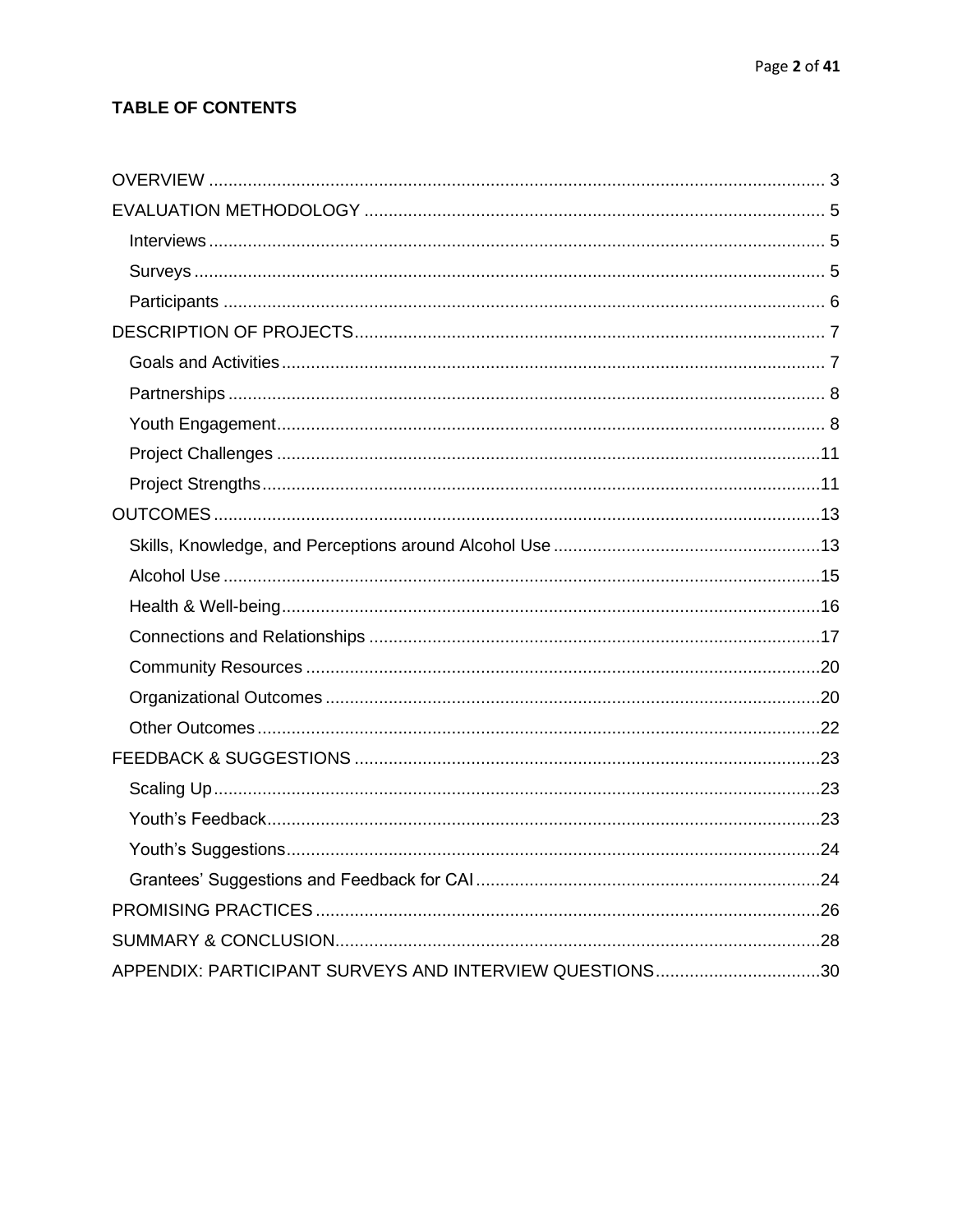# **TABLE OF CONTENTS**

| APPENDIX: PARTICIPANT SURVEYS AND INTERVIEW QUESTIONS30 |  |
|---------------------------------------------------------|--|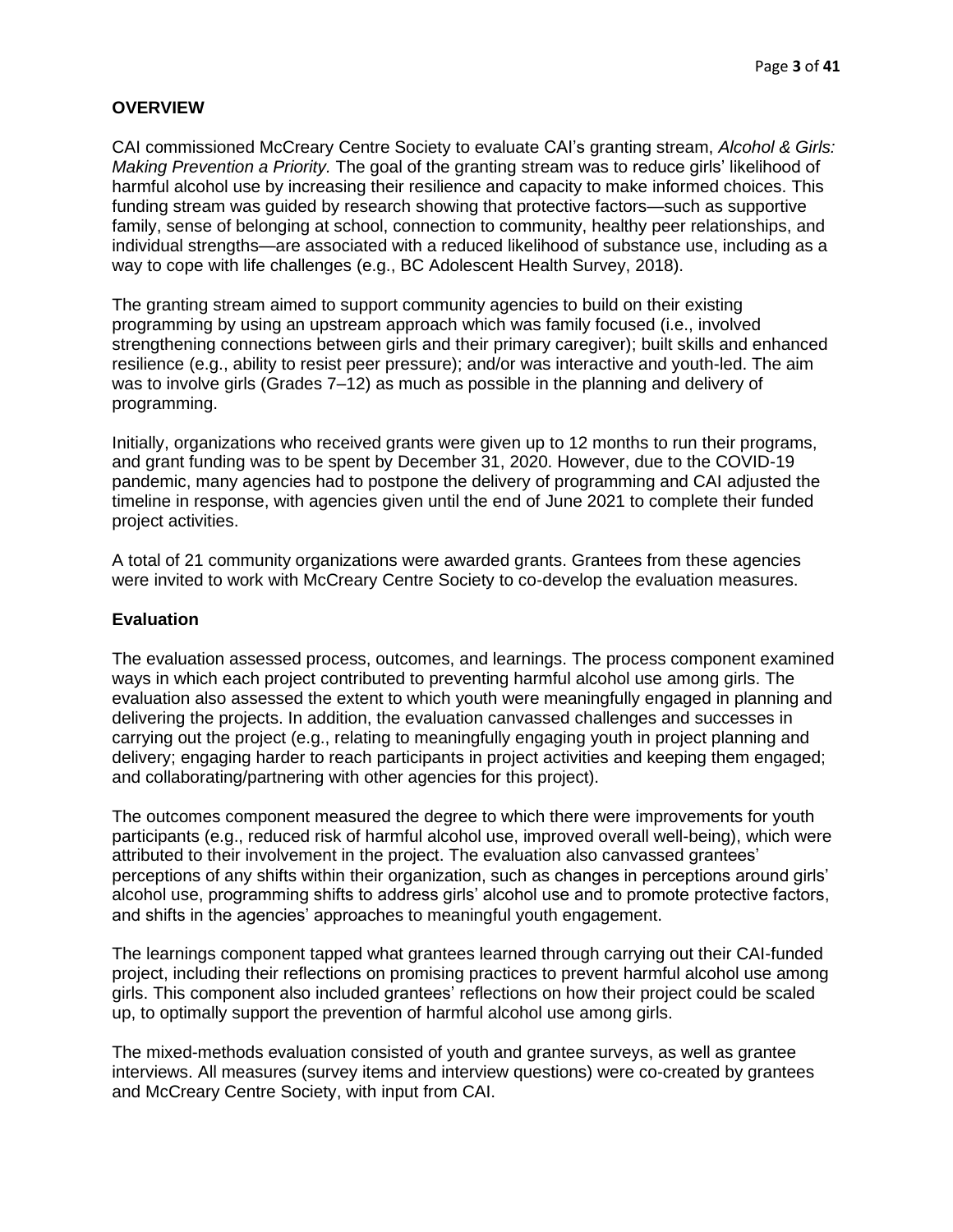#### <span id="page-2-0"></span>**OVERVIEW**

CAI commissioned McCreary Centre Society to evaluate CAI's granting stream, *Alcohol & Girls: Making Prevention a Priority.* The goal of the granting stream was to reduce girls' likelihood of harmful alcohol use by increasing their resilience and capacity to make informed choices. This funding stream was guided by research showing that protective factors—such as supportive family, sense of belonging at school, connection to community, healthy peer relationships, and individual strengths—are associated with a reduced likelihood of substance use, including as a way to cope with life challenges (e.g., BC Adolescent Health Survey, 2018).

The granting stream aimed to support community agencies to build on their existing programming by using an upstream approach which was family focused (i.e., involved strengthening connections between girls and their primary caregiver); built skills and enhanced resilience (e.g., ability to resist peer pressure); and/or was interactive and youth-led. The aim was to involve girls (Grades 7–12) as much as possible in the planning and delivery of programming.

Initially, organizations who received grants were given up to 12 months to run their programs, and grant funding was to be spent by December 31, 2020. However, due to the COVID-19 pandemic, many agencies had to postpone the delivery of programming and CAI adjusted the timeline in response, with agencies given until the end of June 2021 to complete their funded project activities.

A total of 21 community organizations were awarded grants. Grantees from these agencies were invited to work with McCreary Centre Society to co-develop the evaluation measures.

## **Evaluation**

The evaluation assessed process, outcomes, and learnings. The process component examined ways in which each project contributed to preventing harmful alcohol use among girls. The evaluation also assessed the extent to which youth were meaningfully engaged in planning and delivering the projects. In addition, the evaluation canvassed challenges and successes in carrying out the project (e.g., relating to meaningfully engaging youth in project planning and delivery; engaging harder to reach participants in project activities and keeping them engaged; and collaborating/partnering with other agencies for this project).

The outcomes component measured the degree to which there were improvements for youth participants (e.g., reduced risk of harmful alcohol use, improved overall well-being), which were attributed to their involvement in the project. The evaluation also canvassed grantees' perceptions of any shifts within their organization, such as changes in perceptions around girls' alcohol use, programming shifts to address girls' alcohol use and to promote protective factors, and shifts in the agencies' approaches to meaningful youth engagement.

The learnings component tapped what grantees learned through carrying out their CAI-funded project, including their reflections on promising practices to prevent harmful alcohol use among girls. This component also included grantees' reflections on how their project could be scaled up, to optimally support the prevention of harmful alcohol use among girls.

The mixed-methods evaluation consisted of youth and grantee surveys, as well as grantee interviews. All measures (survey items and interview questions) were co-created by grantees and McCreary Centre Society, with input from CAI.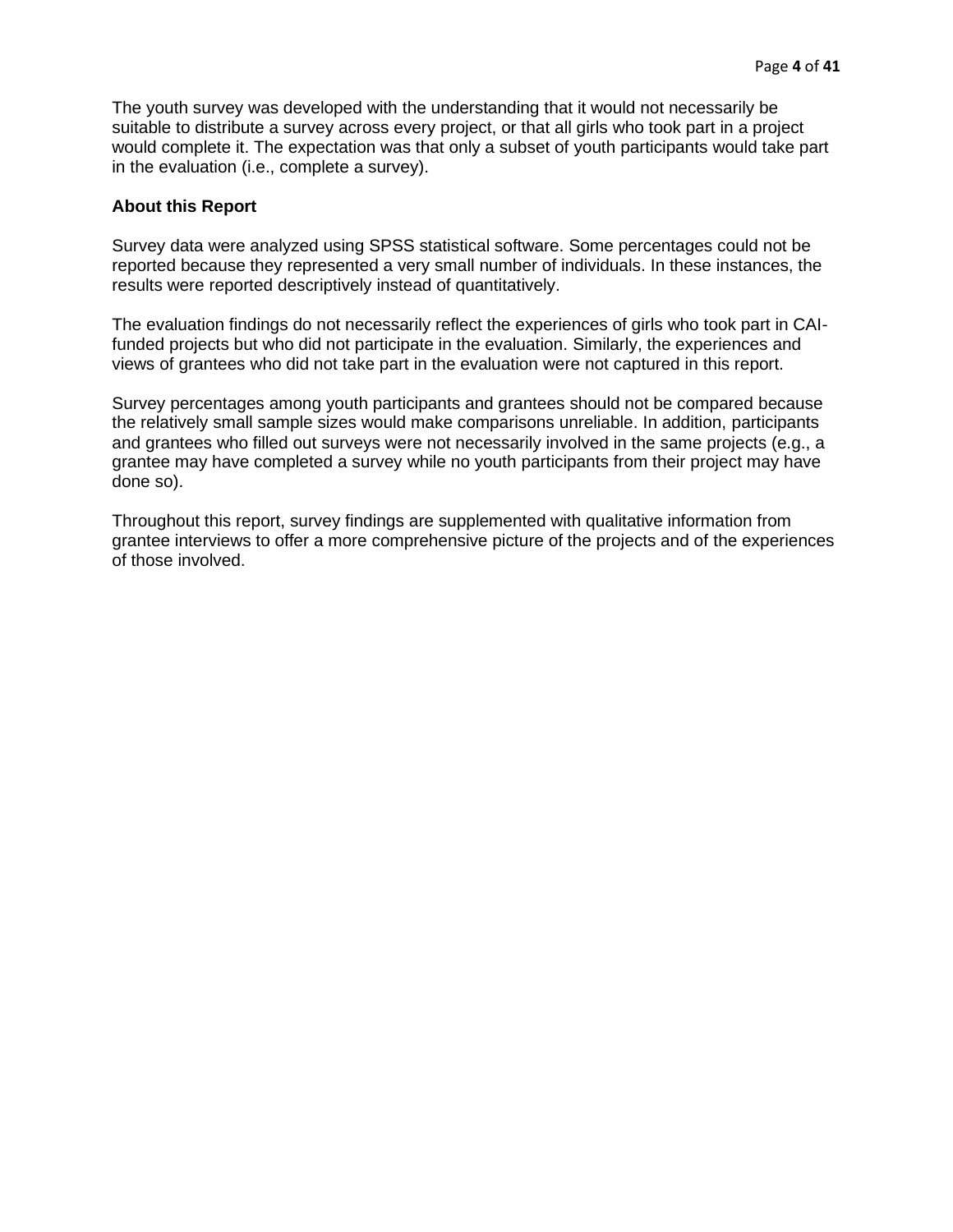The youth survey was developed with the understanding that it would not necessarily be suitable to distribute a survey across every project, or that all girls who took part in a project would complete it. The expectation was that only a subset of youth participants would take part in the evaluation (i.e., complete a survey).

## **About this Report**

Survey data were analyzed using SPSS statistical software. Some percentages could not be reported because they represented a very small number of individuals. In these instances, the results were reported descriptively instead of quantitatively.

The evaluation findings do not necessarily reflect the experiences of girls who took part in CAIfunded projects but who did not participate in the evaluation. Similarly, the experiences and views of grantees who did not take part in the evaluation were not captured in this report.

Survey percentages among youth participants and grantees should not be compared because the relatively small sample sizes would make comparisons unreliable. In addition, participants and grantees who filled out surveys were not necessarily involved in the same projects (e.g., a grantee may have completed a survey while no youth participants from their project may have done so).

Throughout this report, survey findings are supplemented with qualitative information from grantee interviews to offer a more comprehensive picture of the projects and of the experiences of those involved.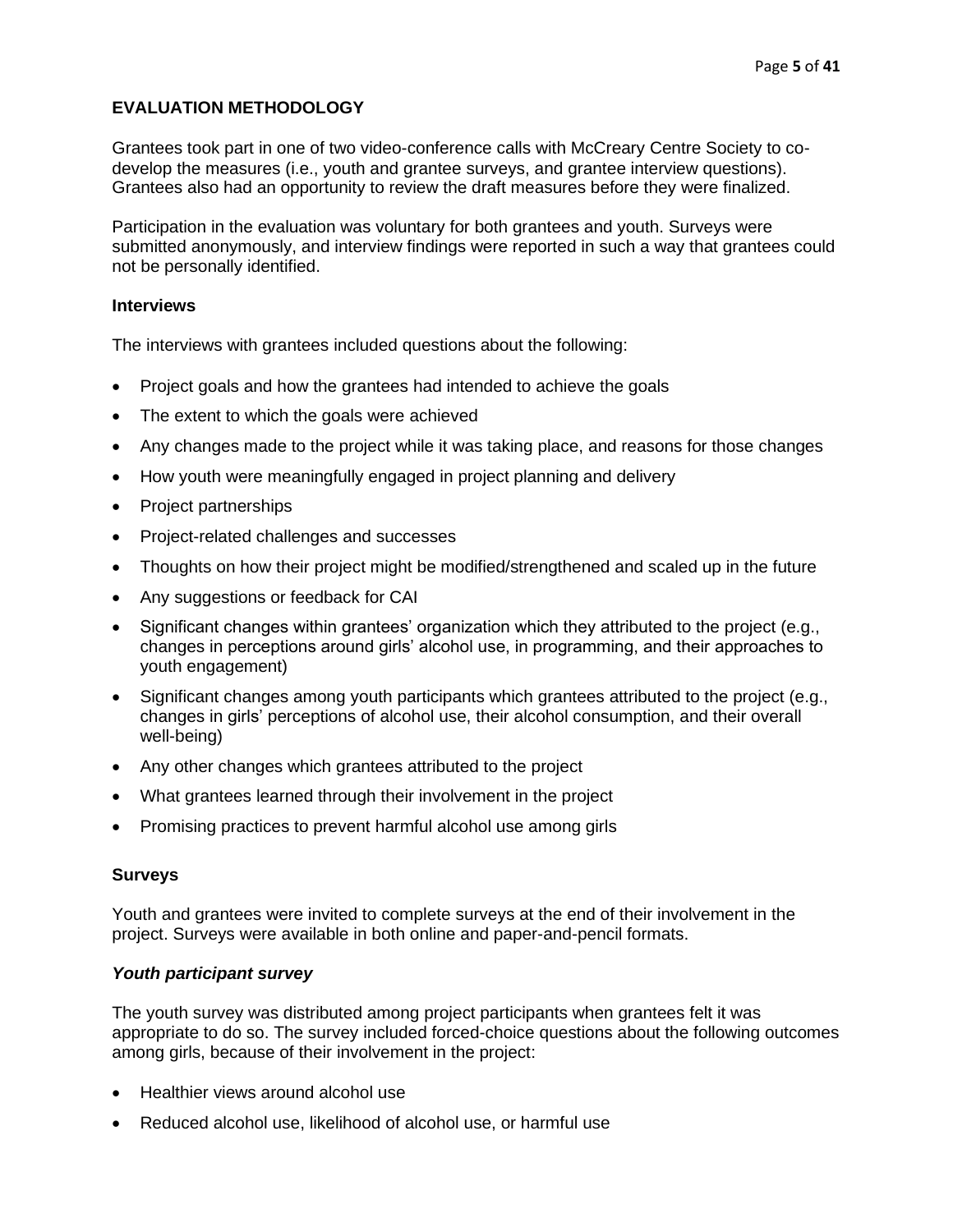# <span id="page-4-0"></span>**EVALUATION METHODOLOGY**

Grantees took part in one of two video-conference calls with McCreary Centre Society to codevelop the measures (i.e., youth and grantee surveys, and grantee interview questions). Grantees also had an opportunity to review the draft measures before they were finalized.

Participation in the evaluation was voluntary for both grantees and youth. Surveys were submitted anonymously, and interview findings were reported in such a way that grantees could not be personally identified.

#### <span id="page-4-1"></span>**Interviews**

The interviews with grantees included questions about the following:

- Project goals and how the grantees had intended to achieve the goals
- The extent to which the goals were achieved
- Any changes made to the project while it was taking place, and reasons for those changes
- How youth were meaningfully engaged in project planning and delivery
- Project partnerships
- Project-related challenges and successes
- Thoughts on how their project might be modified/strengthened and scaled up in the future
- Any suggestions or feedback for CAI
- Significant changes within grantees' organization which they attributed to the project (e.g., changes in perceptions around girls' alcohol use, in programming, and their approaches to youth engagement)
- Significant changes among youth participants which grantees attributed to the project (e.g., changes in girls' perceptions of alcohol use, their alcohol consumption, and their overall well-being)
- Any other changes which grantees attributed to the project
- What grantees learned through their involvement in the project
- Promising practices to prevent harmful alcohol use among girls

## <span id="page-4-2"></span>**Surveys**

Youth and grantees were invited to complete surveys at the end of their involvement in the project. Surveys were available in both online and paper-and-pencil formats.

## *Youth participant survey*

The youth survey was distributed among project participants when grantees felt it was appropriate to do so. The survey included forced-choice questions about the following outcomes among girls, because of their involvement in the project:

- Healthier views around alcohol use
- Reduced alcohol use, likelihood of alcohol use, or harmful use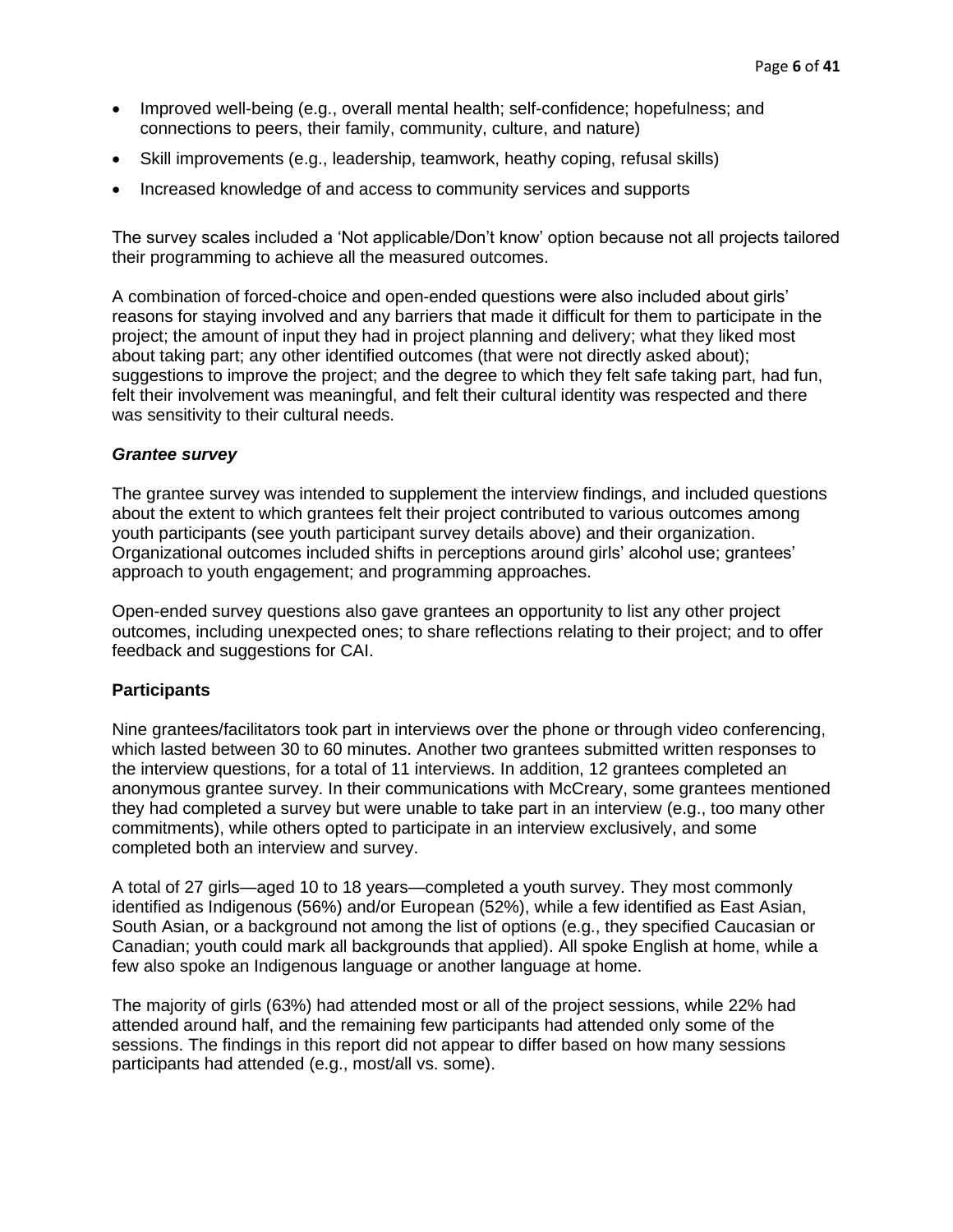- Improved well-being (e.g., overall mental health; self-confidence; hopefulness; and connections to peers, their family, community, culture, and nature)
- Skill improvements (e.g., leadership, teamwork, heathy coping, refusal skills)
- Increased knowledge of and access to community services and supports

The survey scales included a 'Not applicable/Don't know' option because not all projects tailored their programming to achieve all the measured outcomes.

A combination of forced-choice and open-ended questions were also included about girls' reasons for staying involved and any barriers that made it difficult for them to participate in the project; the amount of input they had in project planning and delivery; what they liked most about taking part; any other identified outcomes (that were not directly asked about); suggestions to improve the project; and the degree to which they felt safe taking part, had fun, felt their involvement was meaningful, and felt their cultural identity was respected and there was sensitivity to their cultural needs.

## *Grantee survey*

The grantee survey was intended to supplement the interview findings, and included questions about the extent to which grantees felt their project contributed to various outcomes among youth participants (see youth participant survey details above) and their organization. Organizational outcomes included shifts in perceptions around girls' alcohol use; grantees' approach to youth engagement; and programming approaches.

Open-ended survey questions also gave grantees an opportunity to list any other project outcomes, including unexpected ones; to share reflections relating to their project; and to offer feedback and suggestions for CAI.

## <span id="page-5-0"></span>**Participants**

Nine grantees/facilitators took part in interviews over the phone or through video conferencing, which lasted between 30 to 60 minutes. Another two grantees submitted written responses to the interview questions, for a total of 11 interviews. In addition, 12 grantees completed an anonymous grantee survey. In their communications with McCreary, some grantees mentioned they had completed a survey but were unable to take part in an interview (e.g., too many other commitments), while others opted to participate in an interview exclusively, and some completed both an interview and survey.

A total of 27 girls—aged 10 to 18 years—completed a youth survey. They most commonly identified as Indigenous (56%) and/or European (52%), while a few identified as East Asian, South Asian, or a background not among the list of options (e.g., they specified Caucasian or Canadian; youth could mark all backgrounds that applied). All spoke English at home, while a few also spoke an Indigenous language or another language at home.

The majority of girls (63%) had attended most or all of the project sessions, while 22% had attended around half, and the remaining few participants had attended only some of the sessions. The findings in this report did not appear to differ based on how many sessions participants had attended (e.g., most/all vs. some).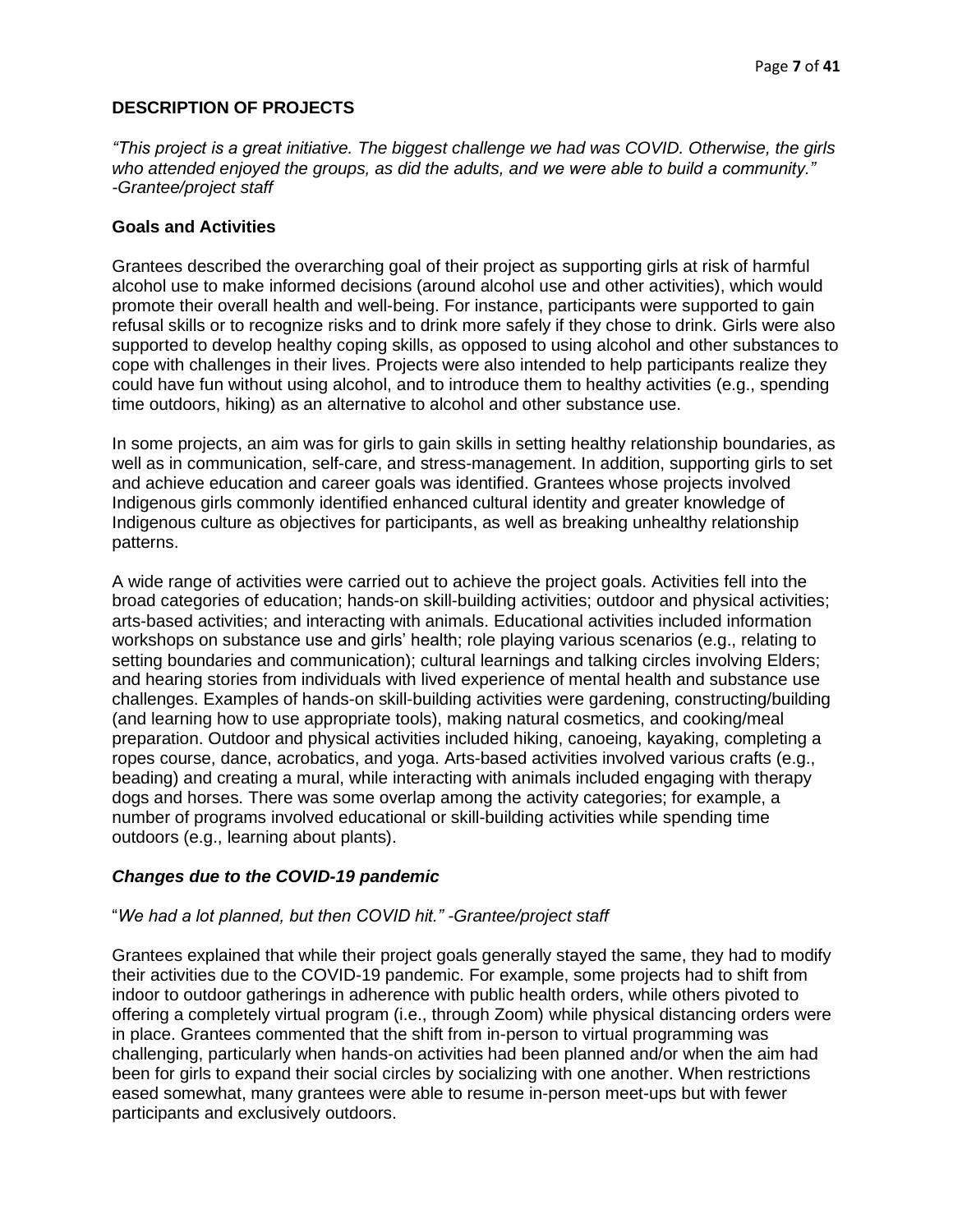## <span id="page-6-0"></span>**DESCRIPTION OF PROJECTS**

*"This project is a great initiative. The biggest challenge we had was COVID. Otherwise, the girls who attended enjoyed the groups, as did the adults, and we were able to build a community." -Grantee/project staff*

## <span id="page-6-1"></span>**Goals and Activities**

Grantees described the overarching goal of their project as supporting girls at risk of harmful alcohol use to make informed decisions (around alcohol use and other activities), which would promote their overall health and well-being. For instance, participants were supported to gain refusal skills or to recognize risks and to drink more safely if they chose to drink. Girls were also supported to develop healthy coping skills, as opposed to using alcohol and other substances to cope with challenges in their lives. Projects were also intended to help participants realize they could have fun without using alcohol, and to introduce them to healthy activities (e.g., spending time outdoors, hiking) as an alternative to alcohol and other substance use.

In some projects, an aim was for girls to gain skills in setting healthy relationship boundaries, as well as in communication, self-care, and stress-management. In addition, supporting girls to set and achieve education and career goals was identified. Grantees whose projects involved Indigenous girls commonly identified enhanced cultural identity and greater knowledge of Indigenous culture as objectives for participants, as well as breaking unhealthy relationship patterns.

A wide range of activities were carried out to achieve the project goals. Activities fell into the broad categories of education; hands-on skill-building activities; outdoor and physical activities; arts-based activities; and interacting with animals. Educational activities included information workshops on substance use and girls' health; role playing various scenarios (e.g., relating to setting boundaries and communication); cultural learnings and talking circles involving Elders; and hearing stories from individuals with lived experience of mental health and substance use challenges. Examples of hands-on skill-building activities were gardening, constructing/building (and learning how to use appropriate tools), making natural cosmetics, and cooking/meal preparation. Outdoor and physical activities included hiking, canoeing, kayaking, completing a ropes course, dance, acrobatics, and yoga. Arts-based activities involved various crafts (e.g., beading) and creating a mural, while interacting with animals included engaging with therapy dogs and horses. There was some overlap among the activity categories; for example, a number of programs involved educational or skill-building activities while spending time outdoors (e.g., learning about plants).

## *Changes due to the COVID-19 pandemic*

## "*We had a lot planned, but then COVID hit." -Grantee/project staff*

Grantees explained that while their project goals generally stayed the same, they had to modify their activities due to the COVID-19 pandemic. For example, some projects had to shift from indoor to outdoor gatherings in adherence with public health orders, while others pivoted to offering a completely virtual program (i.e., through Zoom) while physical distancing orders were in place. Grantees commented that the shift from in-person to virtual programming was challenging, particularly when hands-on activities had been planned and/or when the aim had been for girls to expand their social circles by socializing with one another. When restrictions eased somewhat, many grantees were able to resume in-person meet-ups but with fewer participants and exclusively outdoors.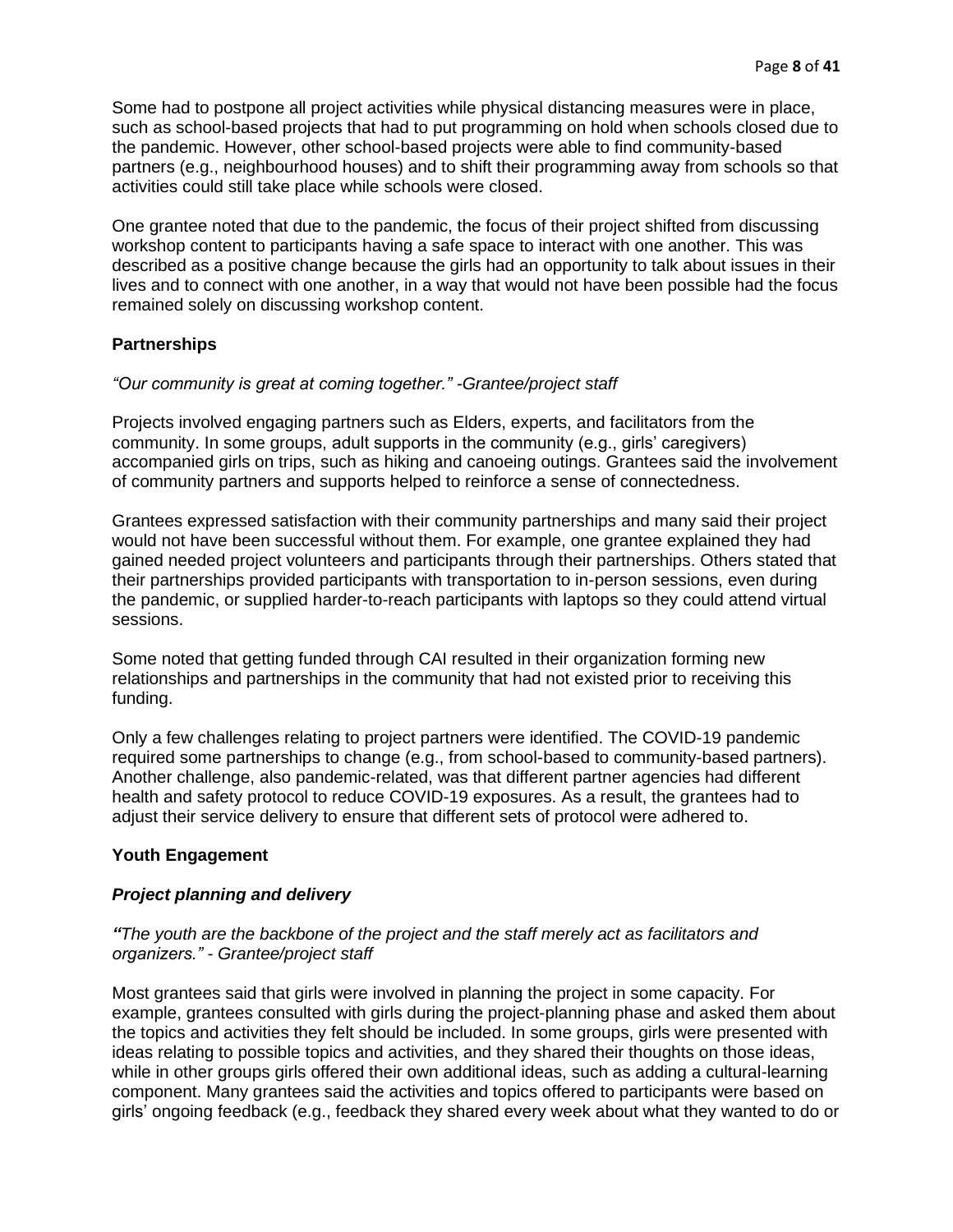Some had to postpone all project activities while physical distancing measures were in place, such as school-based projects that had to put programming on hold when schools closed due to the pandemic. However, other school-based projects were able to find community-based partners (e.g., neighbourhood houses) and to shift their programming away from schools so that activities could still take place while schools were closed.

One grantee noted that due to the pandemic, the focus of their project shifted from discussing workshop content to participants having a safe space to interact with one another. This was described as a positive change because the girls had an opportunity to talk about issues in their lives and to connect with one another, in a way that would not have been possible had the focus remained solely on discussing workshop content.

#### <span id="page-7-0"></span>**Partnerships**

#### *"Our community is great at coming together." -Grantee/project staff*

Projects involved engaging partners such as Elders, experts, and facilitators from the community. In some groups, adult supports in the community (e.g., girls' caregivers) accompanied girls on trips, such as hiking and canoeing outings. Grantees said the involvement of community partners and supports helped to reinforce a sense of connectedness.

Grantees expressed satisfaction with their community partnerships and many said their project would not have been successful without them. For example, one grantee explained they had gained needed project volunteers and participants through their partnerships. Others stated that their partnerships provided participants with transportation to in-person sessions, even during the pandemic, or supplied harder-to-reach participants with laptops so they could attend virtual sessions.

Some noted that getting funded through CAI resulted in their organization forming new relationships and partnerships in the community that had not existed prior to receiving this funding.

Only a few challenges relating to project partners were identified. The COVID-19 pandemic required some partnerships to change (e.g., from school-based to community-based partners). Another challenge, also pandemic-related, was that different partner agencies had different health and safety protocol to reduce COVID-19 exposures. As a result, the grantees had to adjust their service delivery to ensure that different sets of protocol were adhered to.

#### <span id="page-7-1"></span>**Youth Engagement**

#### *Project planning and delivery*

#### *"The youth are the backbone of the project and the staff merely act as facilitators and organizers." - Grantee/project staff*

Most grantees said that girls were involved in planning the project in some capacity. For example, grantees consulted with girls during the project-planning phase and asked them about the topics and activities they felt should be included. In some groups, girls were presented with ideas relating to possible topics and activities, and they shared their thoughts on those ideas, while in other groups girls offered their own additional ideas, such as adding a cultural-learning component. Many grantees said the activities and topics offered to participants were based on girls' ongoing feedback (e.g., feedback they shared every week about what they wanted to do or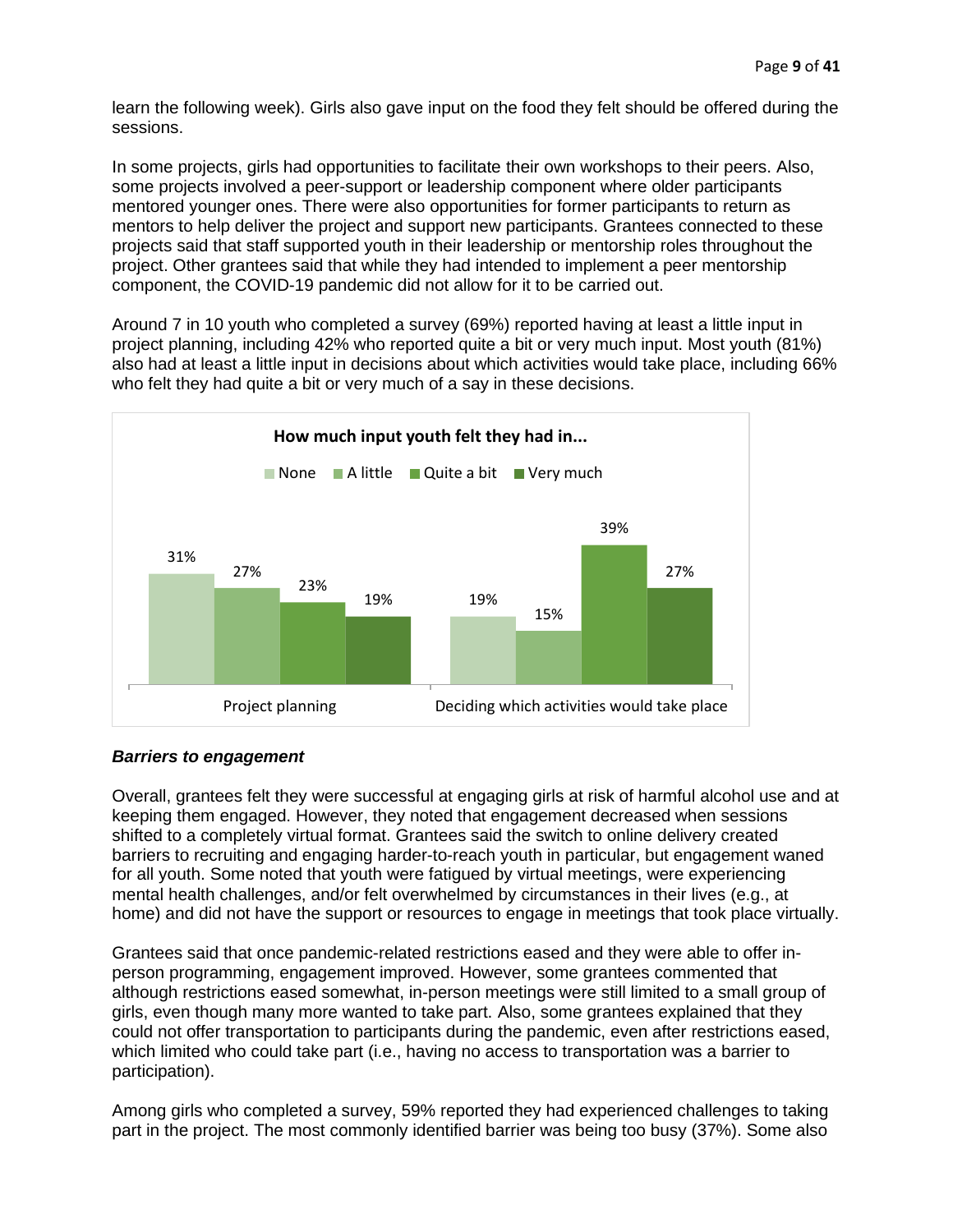learn the following week). Girls also gave input on the food they felt should be offered during the sessions.

In some projects, girls had opportunities to facilitate their own workshops to their peers. Also, some projects involved a peer-support or leadership component where older participants mentored younger ones. There were also opportunities for former participants to return as mentors to help deliver the project and support new participants. Grantees connected to these projects said that staff supported youth in their leadership or mentorship roles throughout the project. Other grantees said that while they had intended to implement a peer mentorship component, the COVID-19 pandemic did not allow for it to be carried out.

Around 7 in 10 youth who completed a survey (69%) reported having at least a little input in project planning, including 42% who reported quite a bit or very much input. Most youth (81%) also had at least a little input in decisions about which activities would take place, including 66% who felt they had quite a bit or very much of a say in these decisions.



## *Barriers to engagement*

Overall, grantees felt they were successful at engaging girls at risk of harmful alcohol use and at keeping them engaged. However, they noted that engagement decreased when sessions shifted to a completely virtual format. Grantees said the switch to online delivery created barriers to recruiting and engaging harder-to-reach youth in particular, but engagement waned for all youth. Some noted that youth were fatigued by virtual meetings, were experiencing mental health challenges, and/or felt overwhelmed by circumstances in their lives (e.g., at home) and did not have the support or resources to engage in meetings that took place virtually.

Grantees said that once pandemic-related restrictions eased and they were able to offer inperson programming, engagement improved. However, some grantees commented that although restrictions eased somewhat, in-person meetings were still limited to a small group of girls, even though many more wanted to take part. Also, some grantees explained that they could not offer transportation to participants during the pandemic, even after restrictions eased, which limited who could take part (i.e., having no access to transportation was a barrier to participation).

Among girls who completed a survey, 59% reported they had experienced challenges to taking part in the project. The most commonly identified barrier was being too busy (37%). Some also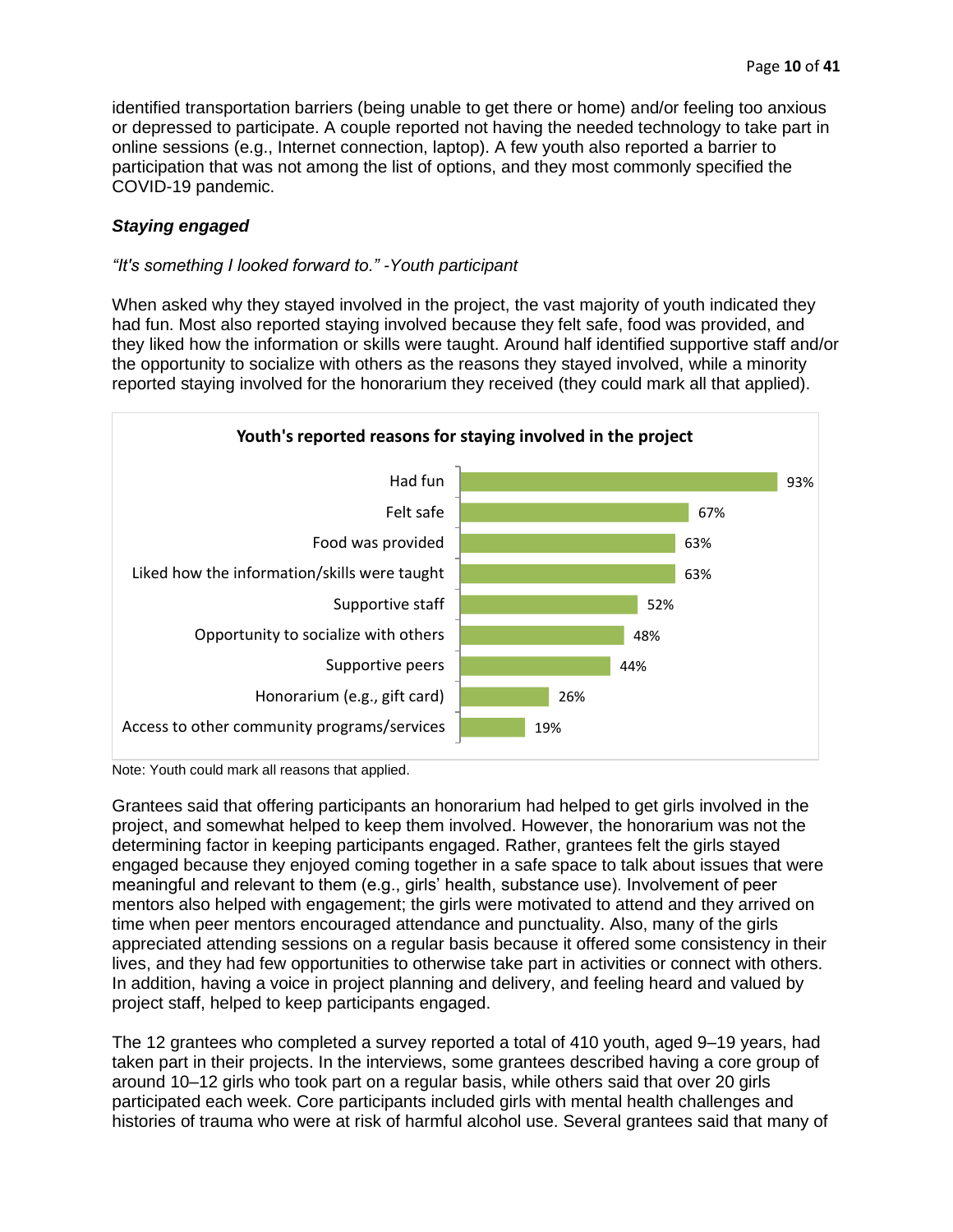identified transportation barriers (being unable to get there or home) and/or feeling too anxious or depressed to participate. A couple reported not having the needed technology to take part in online sessions (e.g., Internet connection, laptop). A few youth also reported a barrier to participation that was not among the list of options, and they most commonly specified the COVID-19 pandemic.

# *Staying engaged*

## *"It's something I looked forward to." -Youth participant*

When asked why they stayed involved in the project, the vast majority of youth indicated they had fun. Most also reported staying involved because they felt safe, food was provided, and they liked how the information or skills were taught. Around half identified supportive staff and/or the opportunity to socialize with others as the reasons they stayed involved, while a minority reported staying involved for the honorarium they received (they could mark all that applied).



Note: Youth could mark all reasons that applied.

Grantees said that offering participants an honorarium had helped to get girls involved in the project, and somewhat helped to keep them involved. However, the honorarium was not the determining factor in keeping participants engaged. Rather, grantees felt the girls stayed engaged because they enjoyed coming together in a safe space to talk about issues that were meaningful and relevant to them (e.g., girls' health, substance use). Involvement of peer mentors also helped with engagement; the girls were motivated to attend and they arrived on time when peer mentors encouraged attendance and punctuality. Also, many of the girls appreciated attending sessions on a regular basis because it offered some consistency in their lives, and they had few opportunities to otherwise take part in activities or connect with others. In addition, having a voice in project planning and delivery, and feeling heard and valued by project staff, helped to keep participants engaged.

The 12 grantees who completed a survey reported a total of 410 youth, aged 9–19 years, had taken part in their projects. In the interviews, some grantees described having a core group of around 10–12 girls who took part on a regular basis, while others said that over 20 girls participated each week. Core participants included girls with mental health challenges and histories of trauma who were at risk of harmful alcohol use. Several grantees said that many of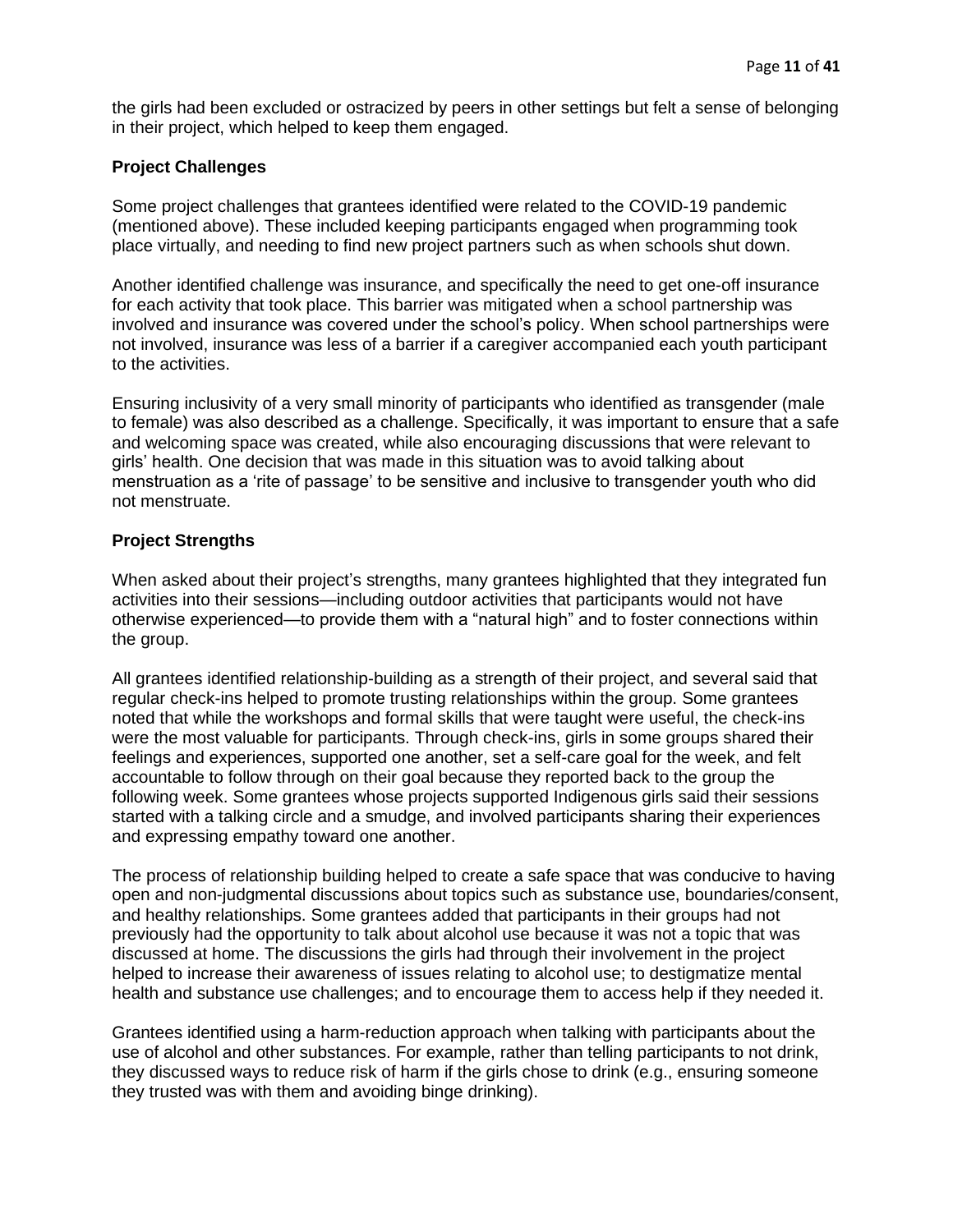the girls had been excluded or ostracized by peers in other settings but felt a sense of belonging in their project, which helped to keep them engaged.

#### <span id="page-10-0"></span>**Project Challenges**

Some project challenges that grantees identified were related to the COVID-19 pandemic (mentioned above). These included keeping participants engaged when programming took place virtually, and needing to find new project partners such as when schools shut down.

Another identified challenge was insurance, and specifically the need to get one-off insurance for each activity that took place. This barrier was mitigated when a school partnership was involved and insurance was covered under the school's policy. When school partnerships were not involved, insurance was less of a barrier if a caregiver accompanied each youth participant to the activities.

Ensuring inclusivity of a very small minority of participants who identified as transgender (male to female) was also described as a challenge. Specifically, it was important to ensure that a safe and welcoming space was created, while also encouraging discussions that were relevant to girls' health. One decision that was made in this situation was to avoid talking about menstruation as a 'rite of passage' to be sensitive and inclusive to transgender youth who did not menstruate.

#### <span id="page-10-1"></span>**Project Strengths**

When asked about their project's strengths, many grantees highlighted that they integrated fun activities into their sessions—including outdoor activities that participants would not have otherwise experienced—to provide them with a "natural high" and to foster connections within the group.

All grantees identified relationship-building as a strength of their project, and several said that regular check-ins helped to promote trusting relationships within the group. Some grantees noted that while the workshops and formal skills that were taught were useful, the check-ins were the most valuable for participants. Through check-ins, girls in some groups shared their feelings and experiences, supported one another, set a self-care goal for the week, and felt accountable to follow through on their goal because they reported back to the group the following week. Some grantees whose projects supported Indigenous girls said their sessions started with a talking circle and a smudge, and involved participants sharing their experiences and expressing empathy toward one another.

The process of relationship building helped to create a safe space that was conducive to having open and non-judgmental discussions about topics such as substance use, boundaries/consent, and healthy relationships. Some grantees added that participants in their groups had not previously had the opportunity to talk about alcohol use because it was not a topic that was discussed at home. The discussions the girls had through their involvement in the project helped to increase their awareness of issues relating to alcohol use; to destigmatize mental health and substance use challenges; and to encourage them to access help if they needed it.

Grantees identified using a harm-reduction approach when talking with participants about the use of alcohol and other substances. For example, rather than telling participants to not drink, they discussed ways to reduce risk of harm if the girls chose to drink (e.g., ensuring someone they trusted was with them and avoiding binge drinking).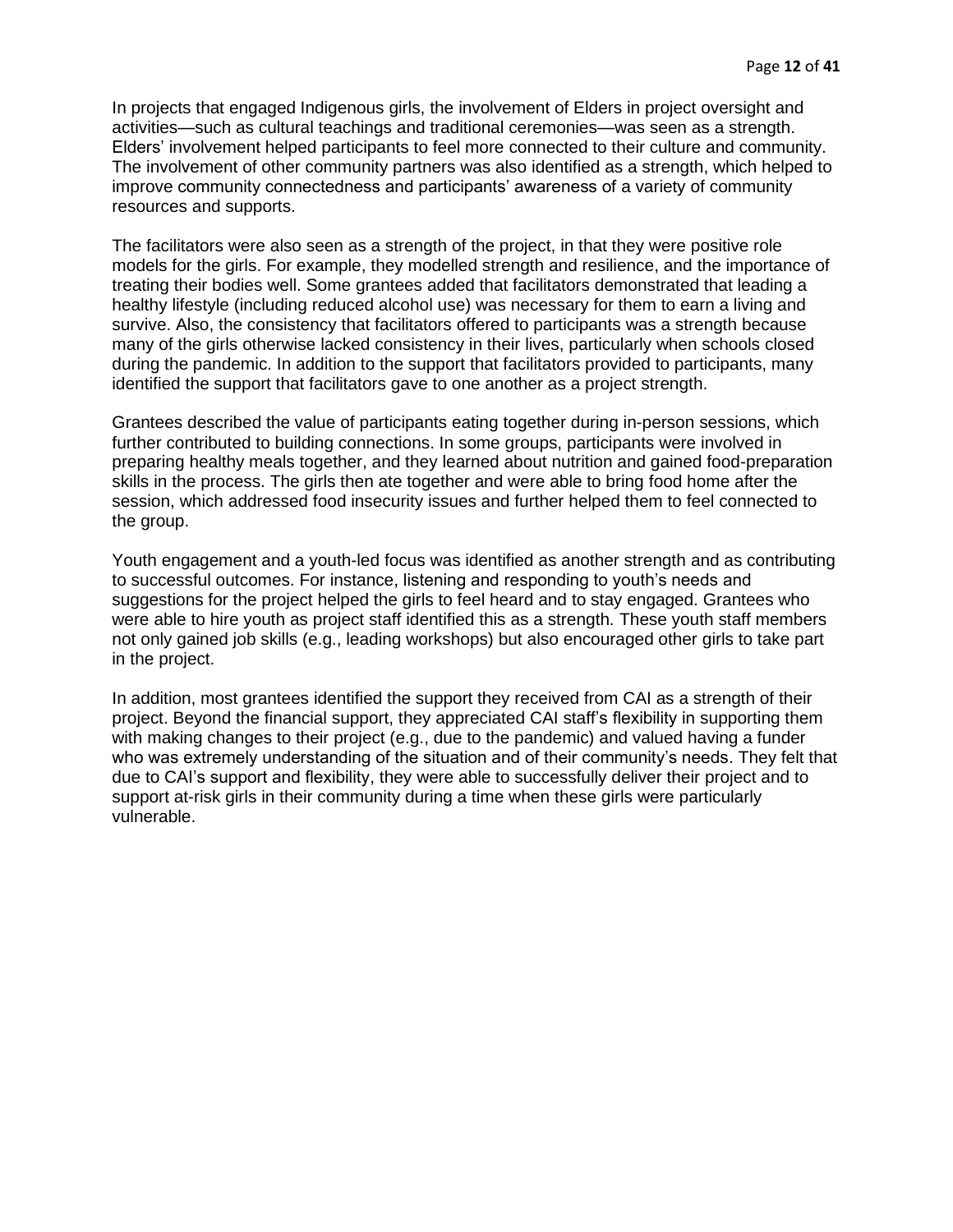In projects that engaged Indigenous girls, the involvement of Elders in project oversight and activities—such as cultural teachings and traditional ceremonies—was seen as a strength. Elders' involvement helped participants to feel more connected to their culture and community. The involvement of other community partners was also identified as a strength, which helped to improve community connectedness and participants' awareness of a variety of community resources and supports.

The facilitators were also seen as a strength of the project, in that they were positive role models for the girls. For example, they modelled strength and resilience, and the importance of treating their bodies well. Some grantees added that facilitators demonstrated that leading a healthy lifestyle (including reduced alcohol use) was necessary for them to earn a living and survive. Also, the consistency that facilitators offered to participants was a strength because many of the girls otherwise lacked consistency in their lives, particularly when schools closed during the pandemic. In addition to the support that facilitators provided to participants, many identified the support that facilitators gave to one another as a project strength.

Grantees described the value of participants eating together during in-person sessions, which further contributed to building connections. In some groups, participants were involved in preparing healthy meals together, and they learned about nutrition and gained food-preparation skills in the process. The girls then ate together and were able to bring food home after the session, which addressed food insecurity issues and further helped them to feel connected to the group.

Youth engagement and a youth-led focus was identified as another strength and as contributing to successful outcomes. For instance, listening and responding to youth's needs and suggestions for the project helped the girls to feel heard and to stay engaged. Grantees who were able to hire youth as project staff identified this as a strength. These youth staff members not only gained job skills (e.g., leading workshops) but also encouraged other girls to take part in the project.

In addition, most grantees identified the support they received from CAI as a strength of their project. Beyond the financial support, they appreciated CAI staff's flexibility in supporting them with making changes to their project (e.g., due to the pandemic) and valued having a funder who was extremely understanding of the situation and of their community's needs. They felt that due to CAI's support and flexibility, they were able to successfully deliver their project and to support at-risk girls in their community during a time when these girls were particularly vulnerable.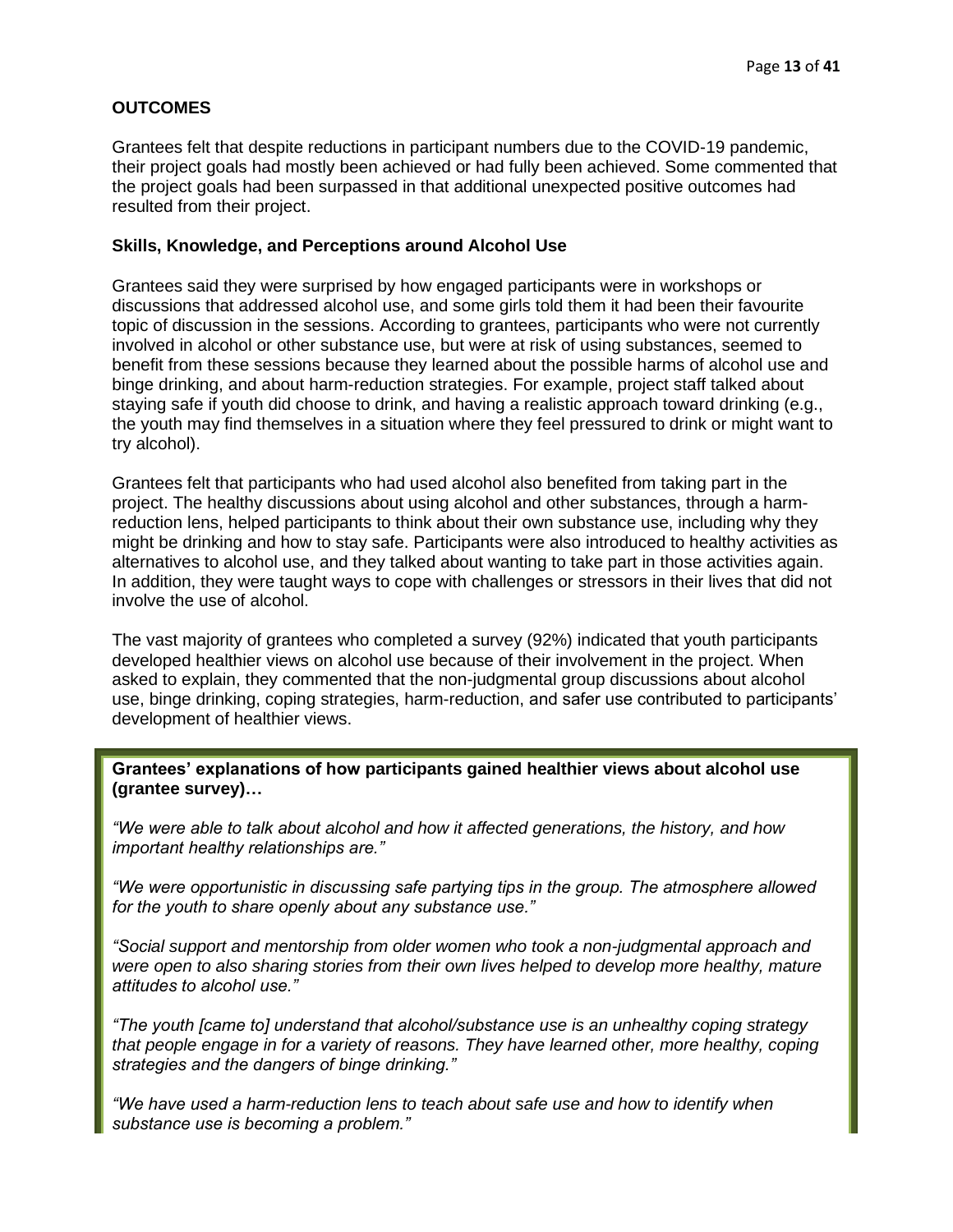## <span id="page-12-0"></span>**OUTCOMES**

Grantees felt that despite reductions in participant numbers due to the COVID-19 pandemic, their project goals had mostly been achieved or had fully been achieved. Some commented that the project goals had been surpassed in that additional unexpected positive outcomes had resulted from their project.

#### <span id="page-12-1"></span>**Skills, Knowledge, and Perceptions around Alcohol Use**

Grantees said they were surprised by how engaged participants were in workshops or discussions that addressed alcohol use, and some girls told them it had been their favourite topic of discussion in the sessions. According to grantees, participants who were not currently involved in alcohol or other substance use, but were at risk of using substances, seemed to benefit from these sessions because they learned about the possible harms of alcohol use and binge drinking, and about harm-reduction strategies. For example, project staff talked about staying safe if youth did choose to drink, and having a realistic approach toward drinking (e.g., the youth may find themselves in a situation where they feel pressured to drink or might want to try alcohol).

Grantees felt that participants who had used alcohol also benefited from taking part in the project. The healthy discussions about using alcohol and other substances, through a harmreduction lens, helped participants to think about their own substance use, including why they might be drinking and how to stay safe. Participants were also introduced to healthy activities as alternatives to alcohol use, and they talked about wanting to take part in those activities again. In addition, they were taught ways to cope with challenges or stressors in their lives that did not involve the use of alcohol.

The vast majority of grantees who completed a survey (92%) indicated that youth participants developed healthier views on alcohol use because of their involvement in the project. When asked to explain, they commented that the non-judgmental group discussions about alcohol use, binge drinking, coping strategies, harm-reduction, and safer use contributed to participants' development of healthier views.

**Grantees' explanations of how participants gained healthier views about alcohol use (grantee survey)…**

*"We were able to talk about alcohol and how it affected generations, the history, and how important healthy relationships are."*

*"We were opportunistic in discussing safe partying tips in the group. The atmosphere allowed for the youth to share openly about any substance use."*

*"Social support and mentorship from older women who took a non-judgmental approach and were open to also sharing stories from their own lives helped to develop more healthy, mature attitudes to alcohol use."*

*"The youth [came to] understand that alcohol/substance use is an unhealthy coping strategy that people engage in for a variety of reasons. They have learned other, more healthy, coping strategies and the dangers of binge drinking."* 

*"We have used a harm-reduction lens to teach about safe use and how to identify when substance use is becoming a problem."*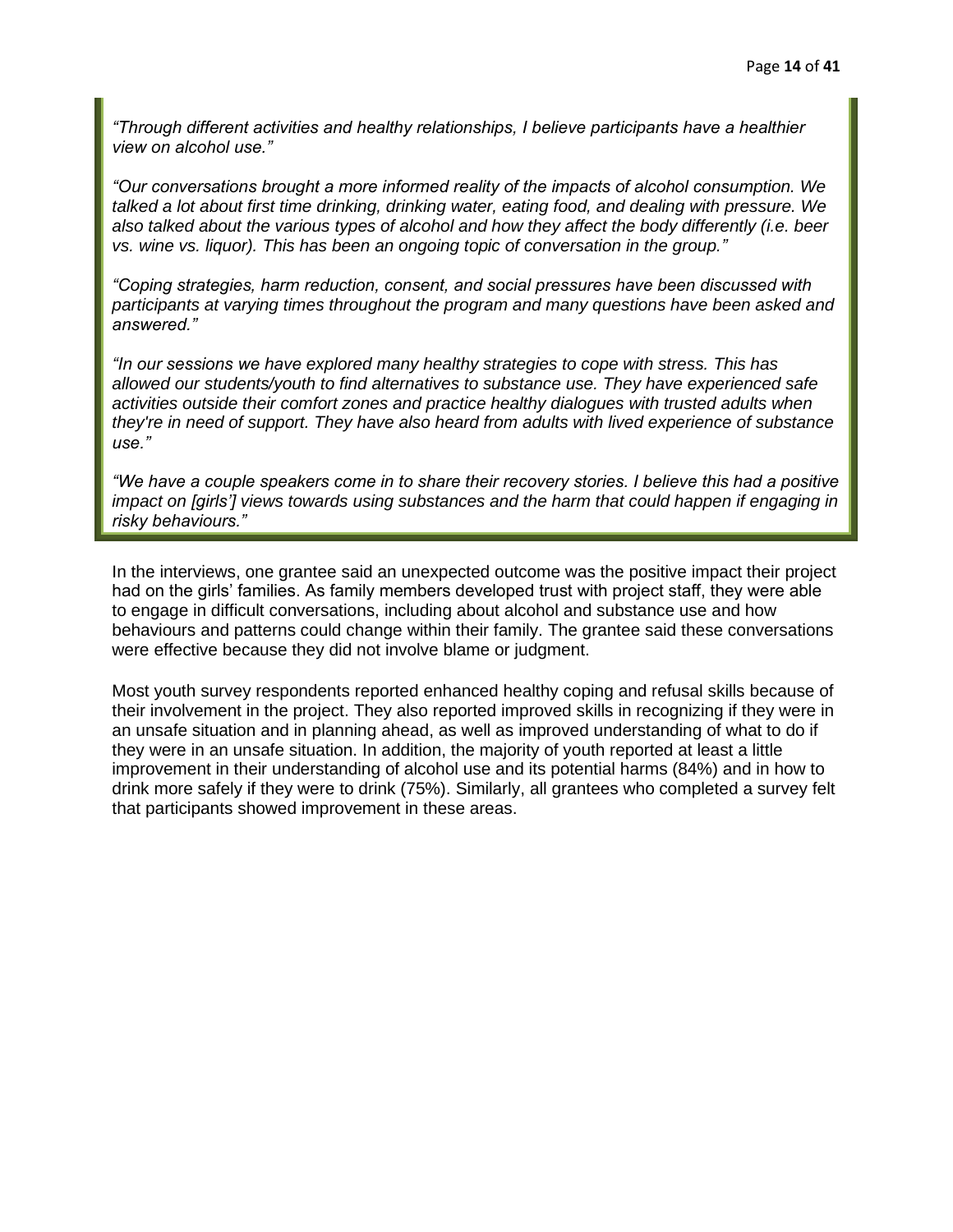*"Through different activities and healthy relationships, I believe participants have a healthier view on alcohol use."*

*"Our conversations brought a more informed reality of the impacts of alcohol consumption. We talked a lot about first time drinking, drinking water, eating food, and dealing with pressure. We also talked about the various types of alcohol and how they affect the body differently (i.e. beer vs. wine vs. liquor). This has been an ongoing topic of conversation in the group."*

*"Coping strategies, harm reduction, consent, and social pressures have been discussed with participants at varying times throughout the program and many questions have been asked and answered."*

*"In our sessions we have explored many healthy strategies to cope with stress. This has allowed our students/youth to find alternatives to substance use. They have experienced safe activities outside their comfort zones and practice healthy dialogues with trusted adults when they're in need of support. They have also heard from adults with lived experience of substance use."*

*"We have a couple speakers come in to share their recovery stories. I believe this had a positive impact on [girls'] views towards using substances and the harm that could happen if engaging in risky behaviours."*

In the interviews, one grantee said an unexpected outcome was the positive impact their project had on the girls' families. As family members developed trust with project staff, they were able to engage in difficult conversations, including about alcohol and substance use and how behaviours and patterns could change within their family. The grantee said these conversations were effective because they did not involve blame or judgment.

Most youth survey respondents reported enhanced healthy coping and refusal skills because of their involvement in the project. They also reported improved skills in recognizing if they were in an unsafe situation and in planning ahead, as well as improved understanding of what to do if they were in an unsafe situation. In addition, the majority of youth reported at least a little improvement in their understanding of alcohol use and its potential harms (84%) and in how to drink more safely if they were to drink (75%). Similarly, all grantees who completed a survey felt that participants showed improvement in these areas.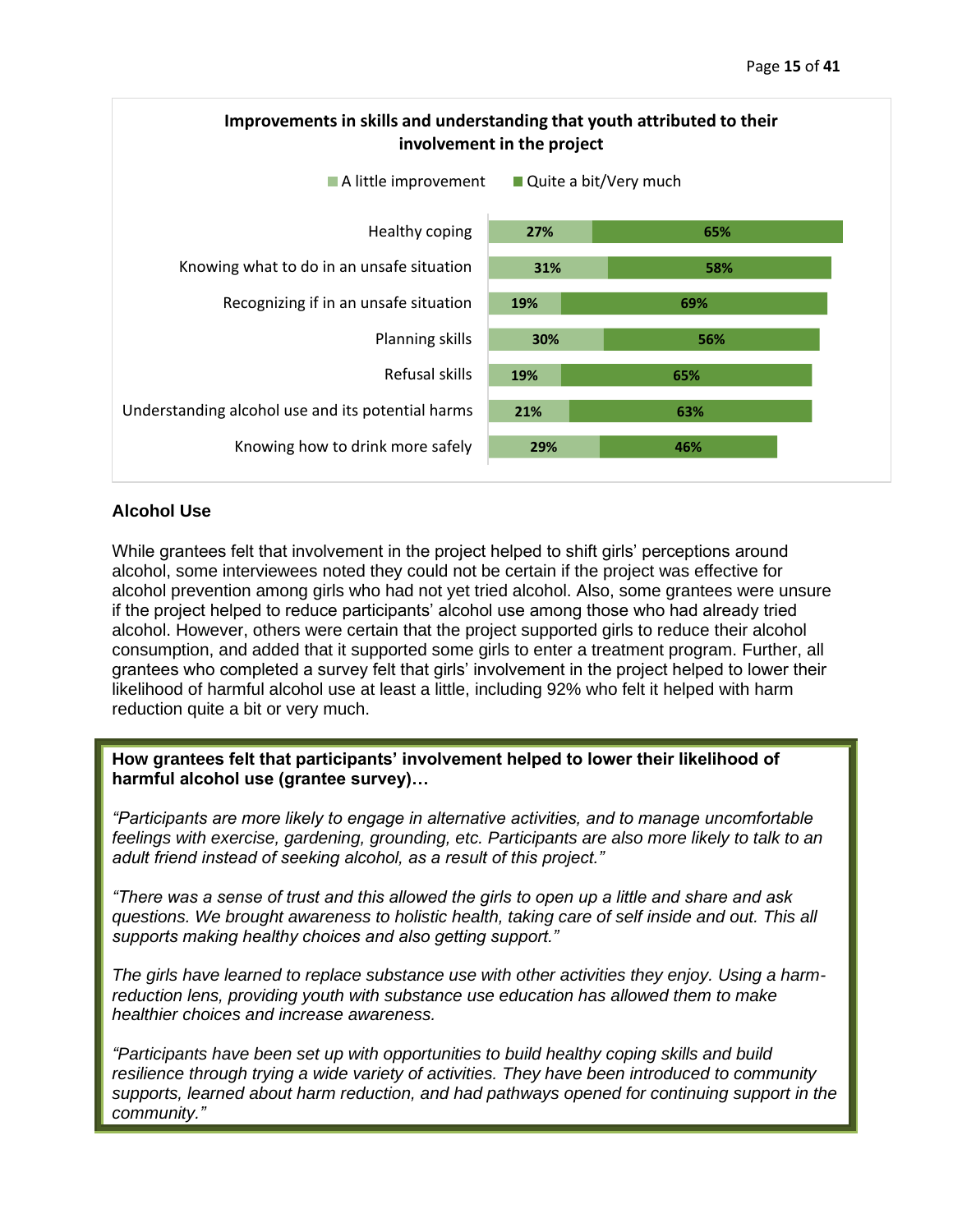

## <span id="page-14-0"></span>**Alcohol Use**

While grantees felt that involvement in the project helped to shift girls' perceptions around alcohol, some interviewees noted they could not be certain if the project was effective for alcohol prevention among girls who had not yet tried alcohol. Also, some grantees were unsure if the project helped to reduce participants' alcohol use among those who had already tried alcohol. However, others were certain that the project supported girls to reduce their alcohol consumption, and added that it supported some girls to enter a treatment program. Further, all grantees who completed a survey felt that girls' involvement in the project helped to lower their likelihood of harmful alcohol use at least a little, including 92% who felt it helped with harm reduction quite a bit or very much.

**How grantees felt that participants' involvement helped to lower their likelihood of harmful alcohol use (grantee survey)…**

*"Participants are more likely to engage in alternative activities, and to manage uncomfortable feelings with exercise, gardening, grounding, etc. Participants are also more likely to talk to an adult friend instead of seeking alcohol, as a result of this project."*

*"There was a sense of trust and this allowed the girls to open up a little and share and ask questions. We brought awareness to holistic health, taking care of self inside and out. This all supports making healthy choices and also getting support."*

*The girls have learned to replace substance use with other activities they enjoy. Using a harmreduction lens, providing youth with substance use education has allowed them to make healthier choices and increase awareness.*

*"Participants have been set up with opportunities to build healthy coping skills and build resilience through trying a wide variety of activities. They have been introduced to community supports, learned about harm reduction, and had pathways opened for continuing support in the community."*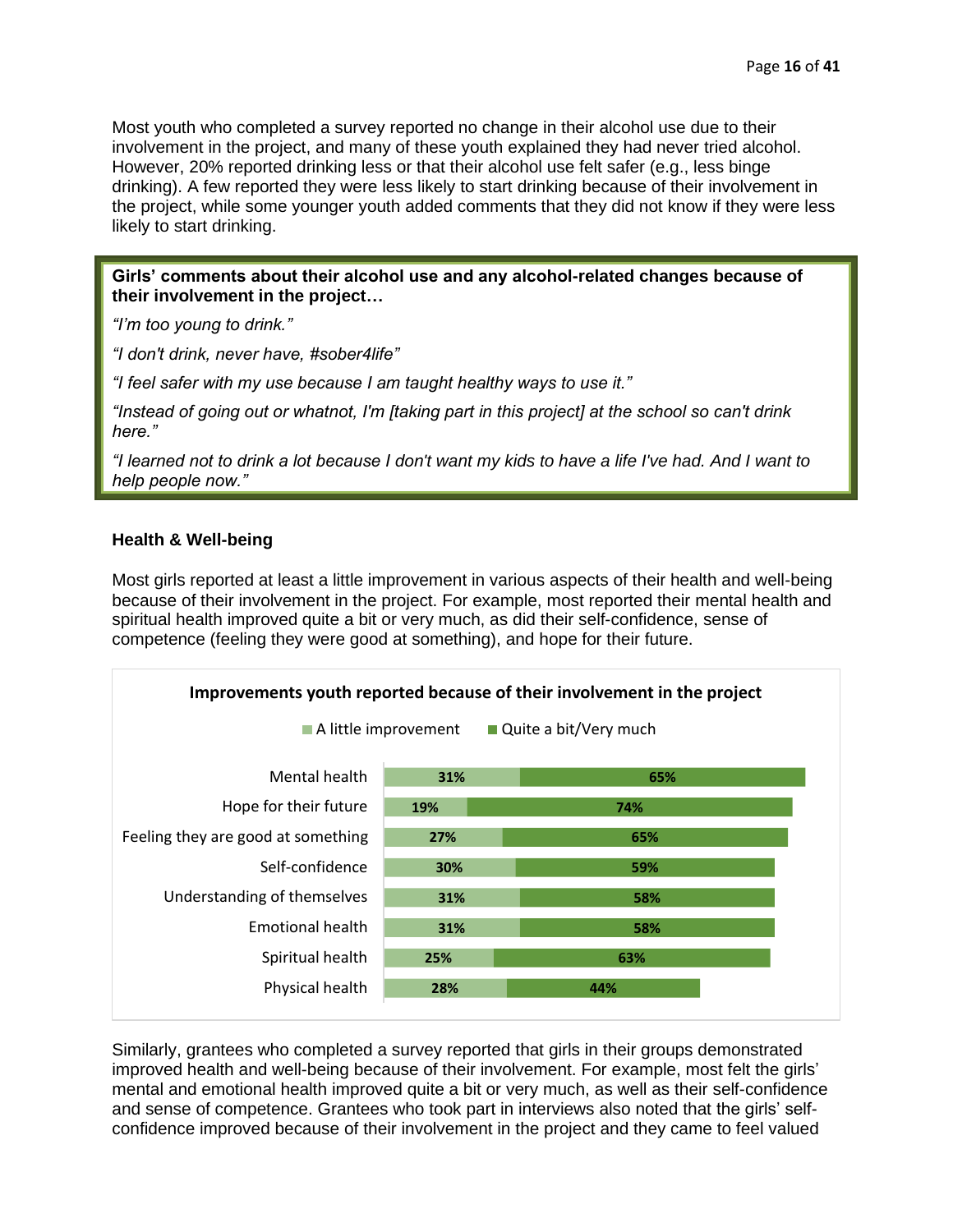Most youth who completed a survey reported no change in their alcohol use due to their involvement in the project, and many of these youth explained they had never tried alcohol. However, 20% reported drinking less or that their alcohol use felt safer (e.g., less binge drinking). A few reported they were less likely to start drinking because of their involvement in the project, while some younger youth added comments that they did not know if they were less likely to start drinking.

**Girls' comments about their alcohol use and any alcohol-related changes because of their involvement in the project…**

*"I'm too young to drink."*

*"I don't drink, never have, #sober4life"*

*"I feel safer with my use because I am taught healthy ways to use it."*

*"Instead of going out or whatnot, I'm [taking part in this project] at the school so can't drink here."*

*"I learned not to drink a lot because I don't want my kids to have a life I've had. And I want to help people now."*

## <span id="page-15-0"></span>**Health & Well-being**

Most girls reported at least a little improvement in various aspects of their health and well-being because of their involvement in the project. For example, most reported their mental health and spiritual health improved quite a bit or very much, as did their self-confidence, sense of competence (feeling they were good at something), and hope for their future.



Similarly, grantees who completed a survey reported that girls in their groups demonstrated improved health and well-being because of their involvement. For example, most felt the girls' mental and emotional health improved quite a bit or very much, as well as their self-confidence and sense of competence. Grantees who took part in interviews also noted that the girls' selfconfidence improved because of their involvement in the project and they came to feel valued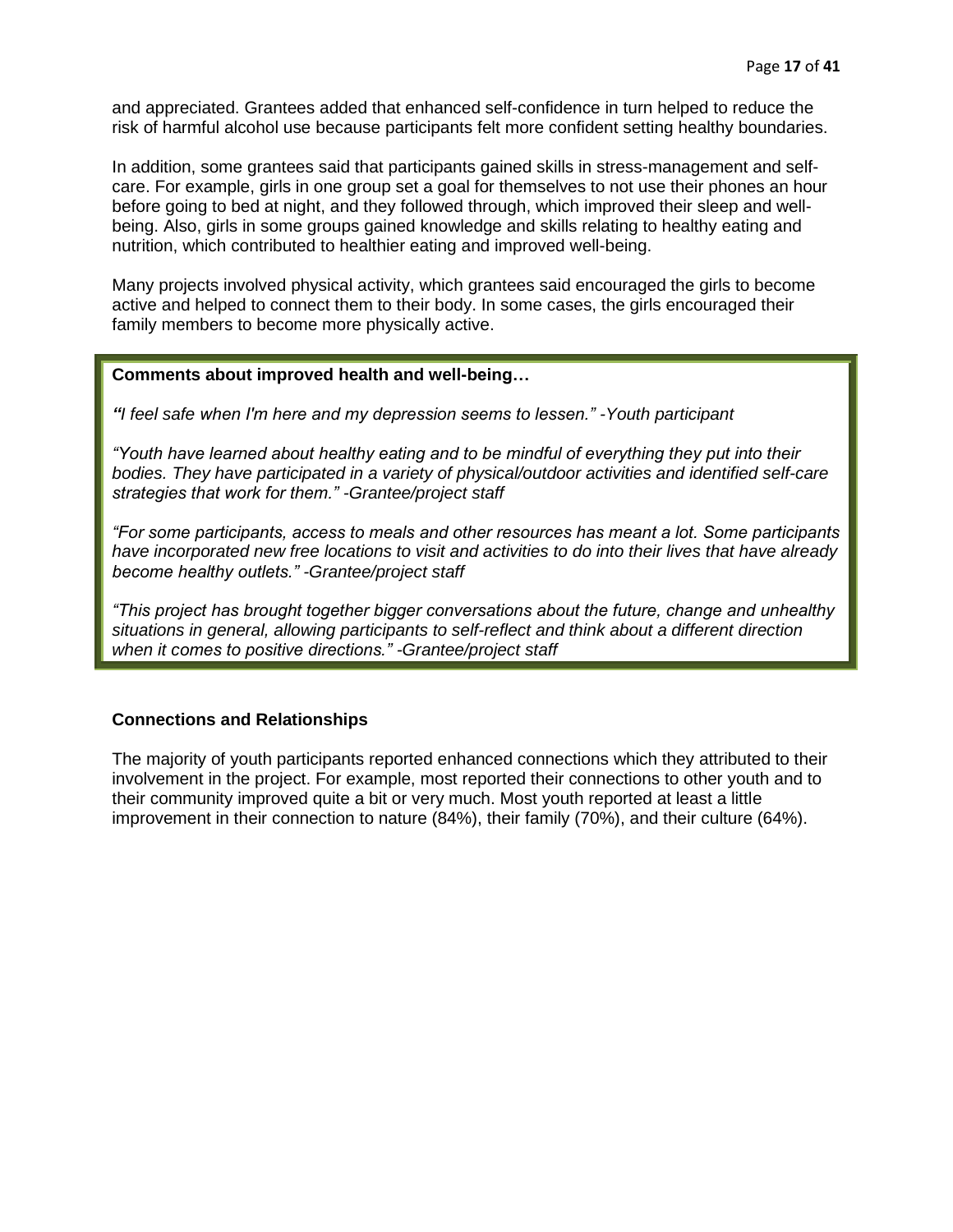and appreciated. Grantees added that enhanced self-confidence in turn helped to reduce the risk of harmful alcohol use because participants felt more confident setting healthy boundaries.

In addition, some grantees said that participants gained skills in stress-management and selfcare. For example, girls in one group set a goal for themselves to not use their phones an hour before going to bed at night, and they followed through, which improved their sleep and wellbeing. Also, girls in some groups gained knowledge and skills relating to healthy eating and nutrition, which contributed to healthier eating and improved well-being.

Many projects involved physical activity, which grantees said encouraged the girls to become active and helped to connect them to their body. In some cases, the girls encouraged their family members to become more physically active.

#### **Comments about improved health and well-being…**

*"I feel safe when I'm here and my depression seems to lessen." -Youth participant*

*"Youth have learned about healthy eating and to be mindful of everything they put into their bodies. They have participated in a variety of physical/outdoor activities and identified self-care strategies that work for them." -Grantee/project staff*

*"For some participants, access to meals and other resources has meant a lot. Some participants have incorporated new free locations to visit and activities to do into their lives that have already become healthy outlets." -Grantee/project staff*

*"This project has brought together bigger conversations about the future, change and unhealthy situations in general, allowing participants to self-reflect and think about a different direction when it comes to positive directions." -Grantee/project staff*

## <span id="page-16-0"></span>**Connections and Relationships**

The majority of youth participants reported enhanced connections which they attributed to their involvement in the project. For example, most reported their connections to other youth and to their community improved quite a bit or very much. Most youth reported at least a little improvement in their connection to nature (84%), their family (70%), and their culture (64%).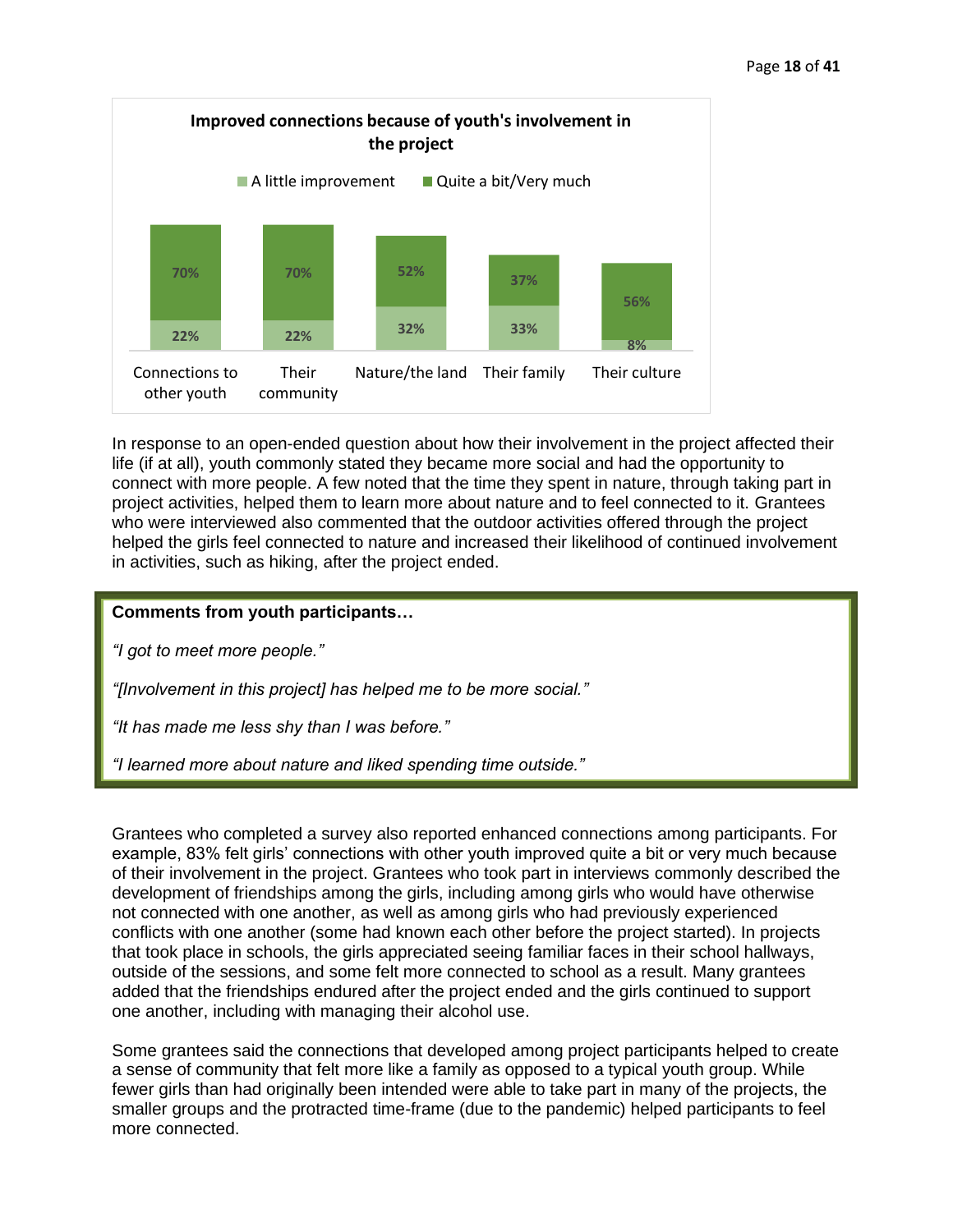

In response to an open-ended question about how their involvement in the project affected their life (if at all), youth commonly stated they became more social and had the opportunity to connect with more people. A few noted that the time they spent in nature, through taking part in project activities, helped them to learn more about nature and to feel connected to it. Grantees who were interviewed also commented that the outdoor activities offered through the project helped the girls feel connected to nature and increased their likelihood of continued involvement in activities, such as hiking, after the project ended.

## **Comments from youth participants…**

*"I got to meet more people."*

*"[Involvement in this project] has helped me to be more social."*

*"It has made me less shy than I was before."*

*"I learned more about nature and liked spending time outside."*

Grantees who completed a survey also reported enhanced connections among participants. For example, 83% felt girls' connections with other youth improved quite a bit or very much because of their involvement in the project. Grantees who took part in interviews commonly described the development of friendships among the girls, including among girls who would have otherwise not connected with one another, as well as among girls who had previously experienced conflicts with one another (some had known each other before the project started). In projects that took place in schools, the girls appreciated seeing familiar faces in their school hallways, outside of the sessions, and some felt more connected to school as a result. Many grantees added that the friendships endured after the project ended and the girls continued to support one another, including with managing their alcohol use.

Some grantees said the connections that developed among project participants helped to create a sense of community that felt more like a family as opposed to a typical youth group. While fewer girls than had originally been intended were able to take part in many of the projects, the smaller groups and the protracted time-frame (due to the pandemic) helped participants to feel more connected.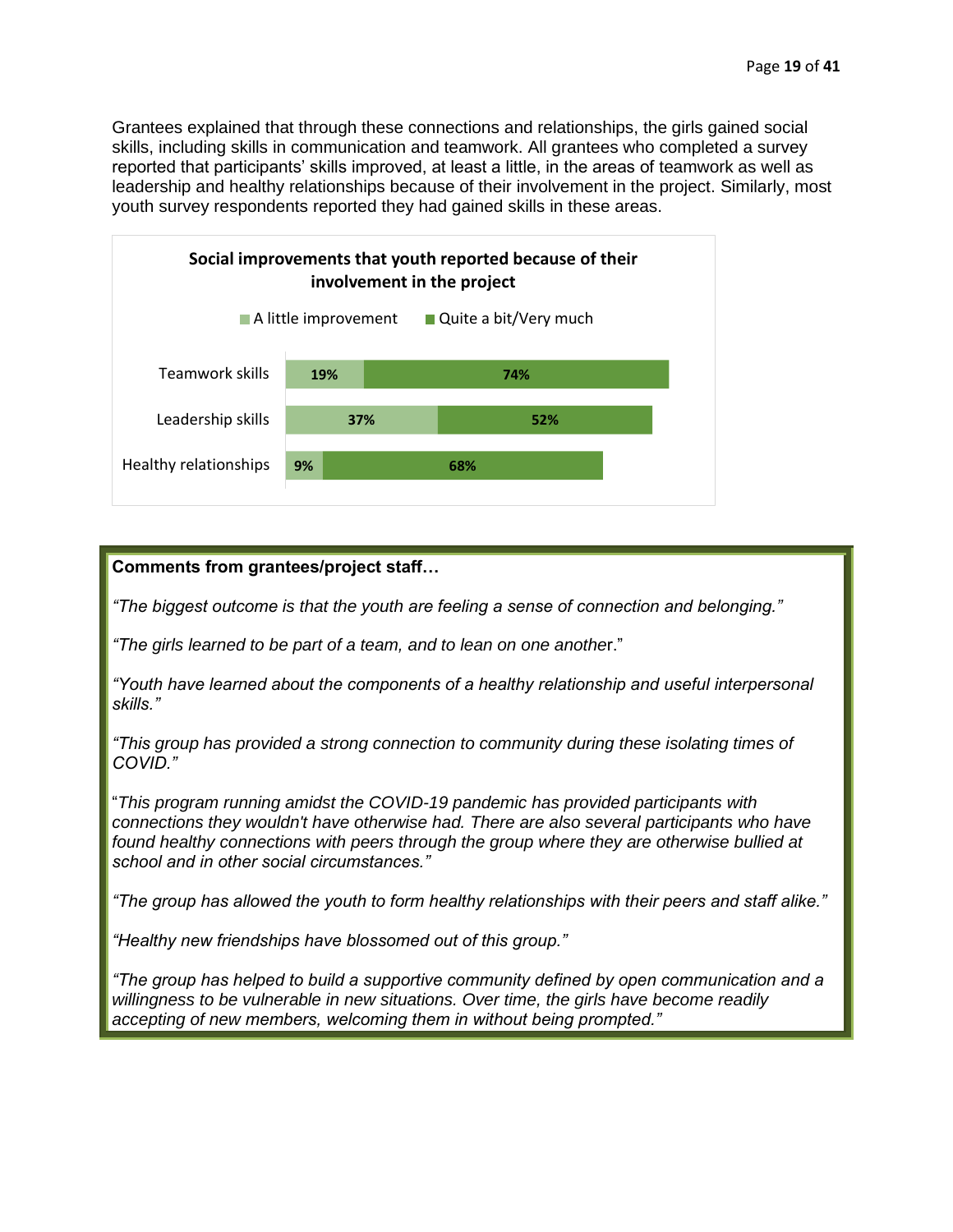Grantees explained that through these connections and relationships, the girls gained social skills, including skills in communication and teamwork. All grantees who completed a survey reported that participants' skills improved, at least a little, in the areas of teamwork as well as leadership and healthy relationships because of their involvement in the project. Similarly, most youth survey respondents reported they had gained skills in these areas.



## **Comments from grantees/project staff…**

*"The biggest outcome is that the youth are feeling a sense of connection and belonging."*

*"The girls learned to be part of a team, and to lean on one anothe*r."

*"Youth have learned about the components of a healthy relationship and useful interpersonal skills."*

*"This group has provided a strong connection to community during these isolating times of COVID."*

"*This program running amidst the COVID-19 pandemic has provided participants with connections they wouldn't have otherwise had. There are also several participants who have found healthy connections with peers through the group where they are otherwise bullied at school and in other social circumstances."*

*"The group has allowed the youth to form healthy relationships with their peers and staff alike."*

*"Healthy new friendships have blossomed out of this group."*

*"The group has helped to build a supportive community defined by open communication and a willingness to be vulnerable in new situations. Over time, the girls have become readily accepting of new members, welcoming them in without being prompted."*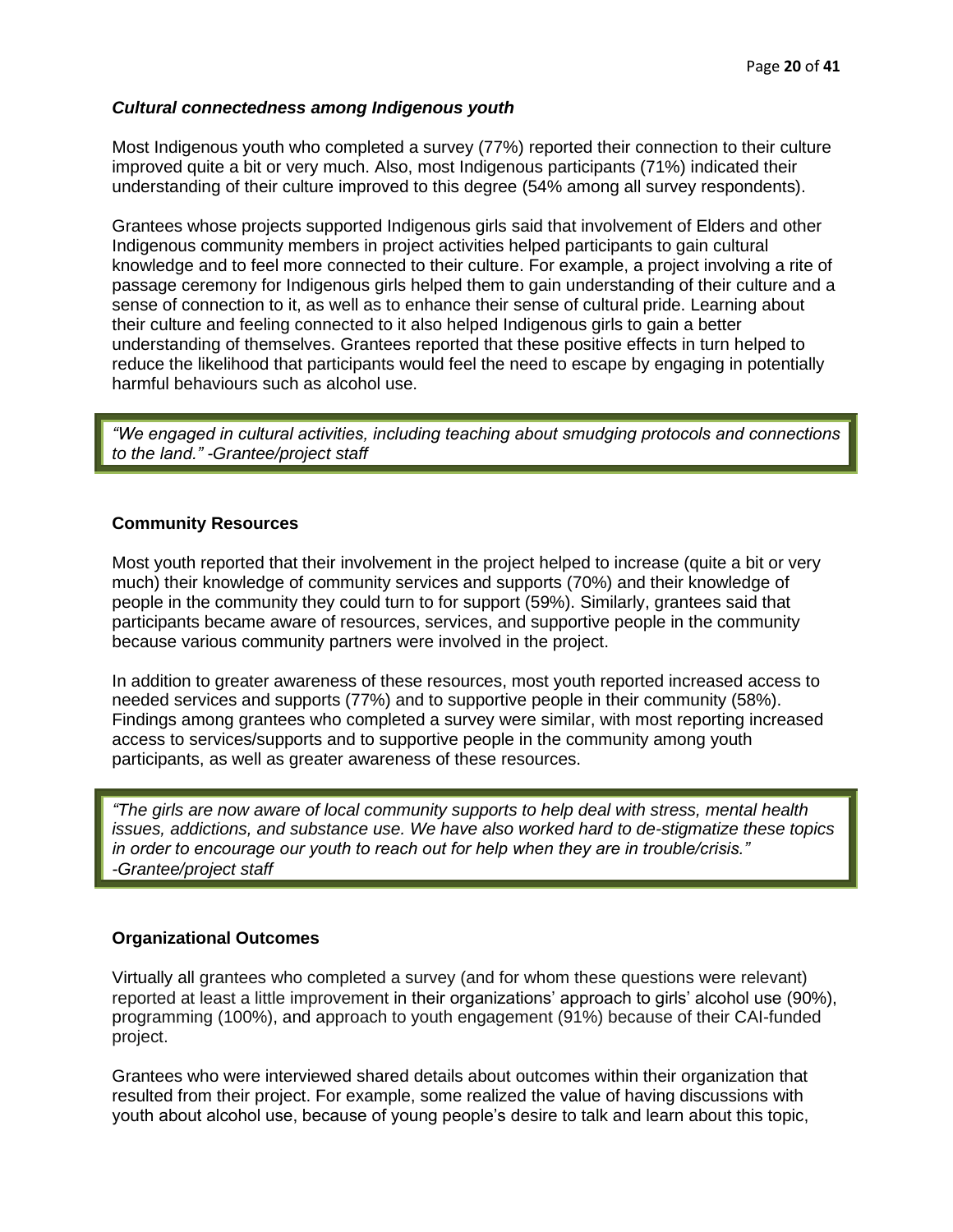## *Cultural connectedness among Indigenous youth*

Most Indigenous youth who completed a survey (77%) reported their connection to their culture improved quite a bit or very much. Also, most Indigenous participants (71%) indicated their understanding of their culture improved to this degree (54% among all survey respondents).

Grantees whose projects supported Indigenous girls said that involvement of Elders and other Indigenous community members in project activities helped participants to gain cultural knowledge and to feel more connected to their culture. For example, a project involving a rite of passage ceremony for Indigenous girls helped them to gain understanding of their culture and a sense of connection to it, as well as to enhance their sense of cultural pride. Learning about their culture and feeling connected to it also helped Indigenous girls to gain a better understanding of themselves. Grantees reported that these positive effects in turn helped to reduce the likelihood that participants would feel the need to escape by engaging in potentially harmful behaviours such as alcohol use.

*"We engaged in cultural activities, including teaching about smudging protocols and connections to the land." -Grantee/project staff*

## <span id="page-19-0"></span>**Community Resources**

Most youth reported that their involvement in the project helped to increase (quite a bit or very much) their knowledge of community services and supports (70%) and their knowledge of people in the community they could turn to for support (59%). Similarly, grantees said that participants became aware of resources, services, and supportive people in the community because various community partners were involved in the project.

In addition to greater awareness of these resources, most youth reported increased access to needed services and supports (77%) and to supportive people in their community (58%). Findings among grantees who completed a survey were similar, with most reporting increased access to services/supports and to supportive people in the community among youth participants, as well as greater awareness of these resources.

*"The girls are now aware of local community supports to help deal with stress, mental health issues, addictions, and substance use. We have also worked hard to de-stigmatize these topics in order to encourage our youth to reach out for help when they are in trouble/crisis." -Grantee/project staff*

## <span id="page-19-1"></span>**Organizational Outcomes**

Virtually all grantees who completed a survey (and for whom these questions were relevant) reported at least a little improvement in their organizations' approach to girls' alcohol use (90%), programming (100%), and approach to youth engagement (91%) because of their CAI-funded project.

Grantees who were interviewed shared details about outcomes within their organization that resulted from their project. For example, some realized the value of having discussions with youth about alcohol use, because of young people's desire to talk and learn about this topic,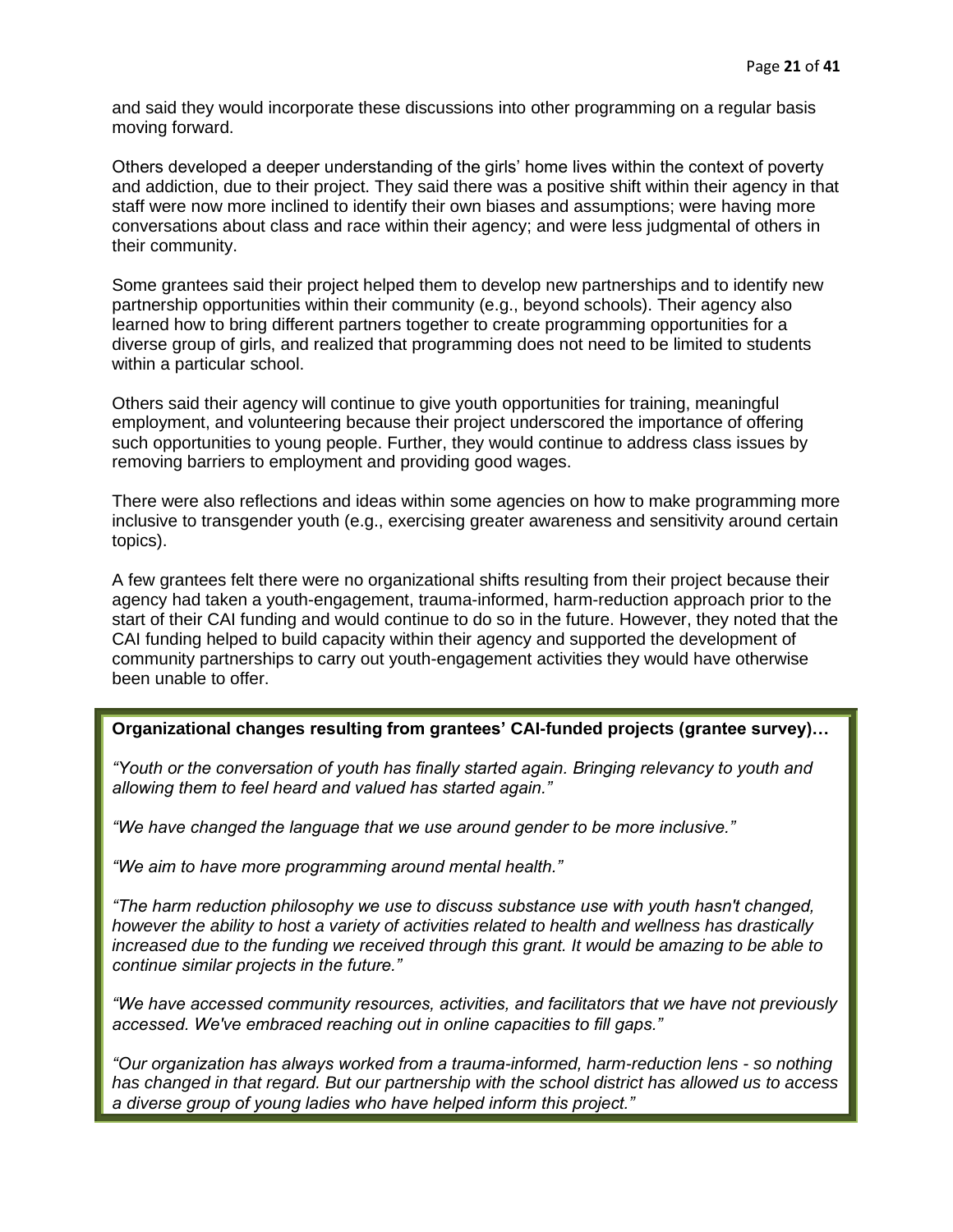and said they would incorporate these discussions into other programming on a regular basis moving forward.

Others developed a deeper understanding of the girls' home lives within the context of poverty and addiction, due to their project. They said there was a positive shift within their agency in that staff were now more inclined to identify their own biases and assumptions; were having more conversations about class and race within their agency; and were less judgmental of others in their community.

Some grantees said their project helped them to develop new partnerships and to identify new partnership opportunities within their community (e.g., beyond schools). Their agency also learned how to bring different partners together to create programming opportunities for a diverse group of girls, and realized that programming does not need to be limited to students within a particular school.

Others said their agency will continue to give youth opportunities for training, meaningful employment, and volunteering because their project underscored the importance of offering such opportunities to young people. Further, they would continue to address class issues by removing barriers to employment and providing good wages.

There were also reflections and ideas within some agencies on how to make programming more inclusive to transgender youth (e.g., exercising greater awareness and sensitivity around certain topics).

A few grantees felt there were no organizational shifts resulting from their project because their agency had taken a youth-engagement, trauma-informed, harm-reduction approach prior to the start of their CAI funding and would continue to do so in the future. However, they noted that the CAI funding helped to build capacity within their agency and supported the development of community partnerships to carry out youth-engagement activities they would have otherwise been unable to offer.

## **Organizational changes resulting from grantees' CAI-funded projects (grantee survey)…**

*"Youth or the conversation of youth has finally started again. Bringing relevancy to youth and allowing them to feel heard and valued has started again."*

*"We have changed the language that we use around gender to be more inclusive."*

*"We aim to have more programming around mental health."*

*"The harm reduction philosophy we use to discuss substance use with youth hasn't changed, however the ability to host a variety of activities related to health and wellness has drastically increased due to the funding we received through this grant. It would be amazing to be able to continue similar projects in the future."*

*"We have accessed community resources, activities, and facilitators that we have not previously accessed. We've embraced reaching out in online capacities to fill gaps."*

*"Our organization has always worked from a trauma-informed, harm-reduction lens - so nothing has changed in that regard. But our partnership with the school district has allowed us to access a diverse group of young ladies who have helped inform this project."*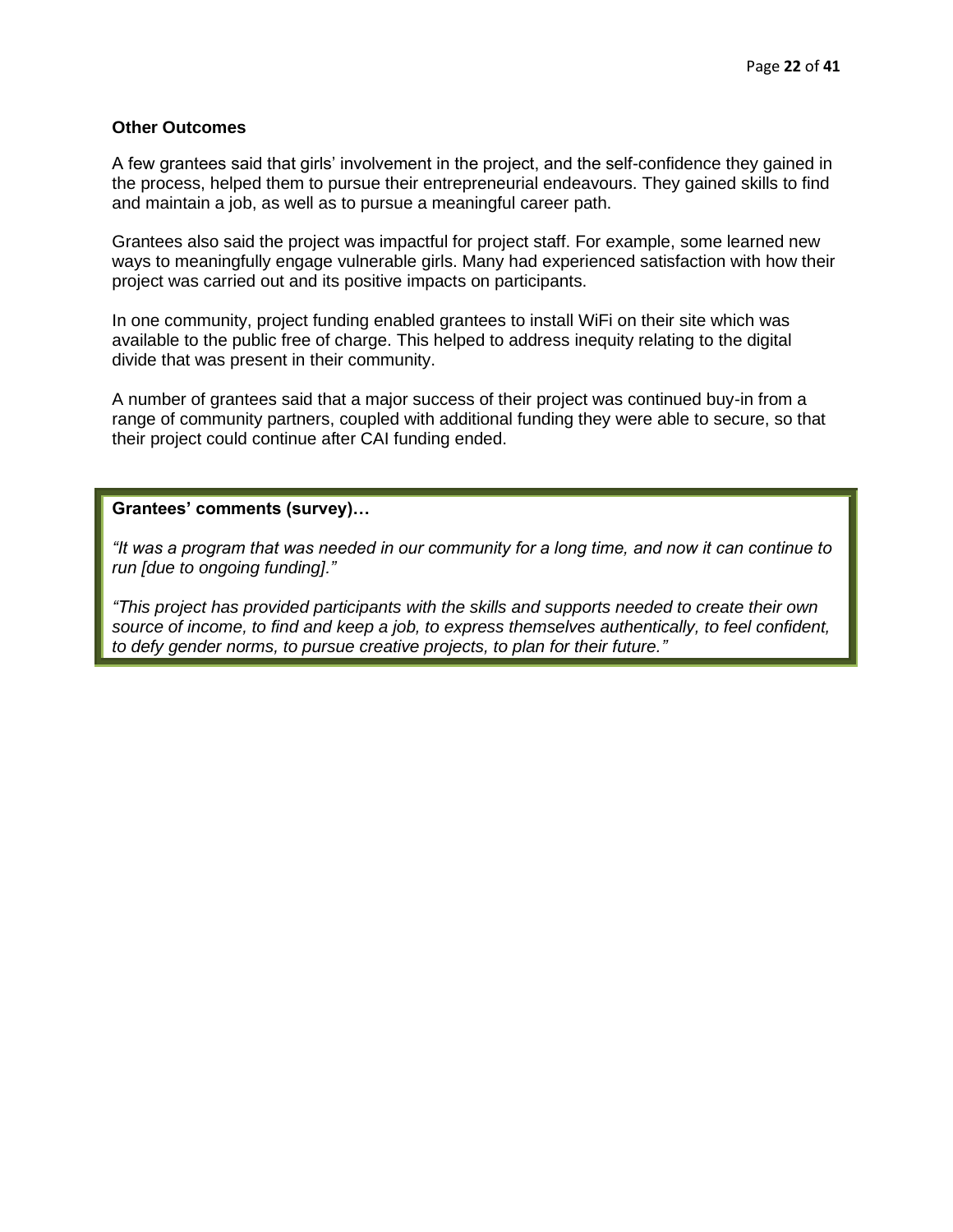#### <span id="page-21-0"></span>**Other Outcomes**

A few grantees said that girls' involvement in the project, and the self-confidence they gained in the process, helped them to pursue their entrepreneurial endeavours. They gained skills to find and maintain a job, as well as to pursue a meaningful career path.

Grantees also said the project was impactful for project staff. For example, some learned new ways to meaningfully engage vulnerable girls. Many had experienced satisfaction with how their project was carried out and its positive impacts on participants.

In one community, project funding enabled grantees to install WiFi on their site which was available to the public free of charge. This helped to address inequity relating to the digital divide that was present in their community.

A number of grantees said that a major success of their project was continued buy-in from a range of community partners, coupled with additional funding they were able to secure, so that their project could continue after CAI funding ended.

#### **Grantees' comments (survey)…**

*"It was a program that was needed in our community for a long time, and now it can continue to run [due to ongoing funding]."*

*"This project has provided participants with the skills and supports needed to create their own source of income, to find and keep a job, to express themselves authentically, to feel confident, to defy gender norms, to pursue creative projects, to plan for their future."*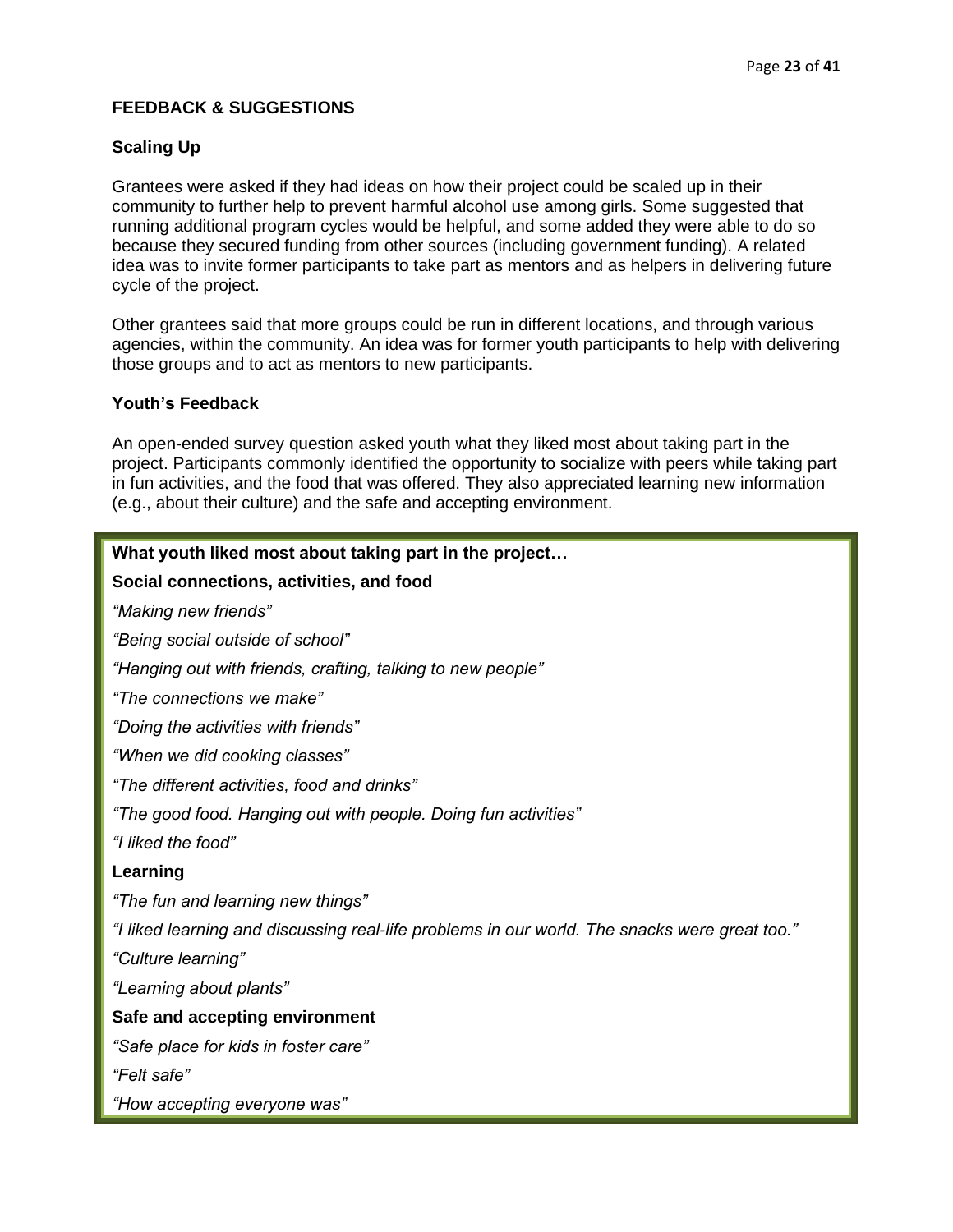# <span id="page-22-0"></span>**FEEDBACK & SUGGESTIONS**

# <span id="page-22-1"></span>**Scaling Up**

Grantees were asked if they had ideas on how their project could be scaled up in their community to further help to prevent harmful alcohol use among girls. Some suggested that running additional program cycles would be helpful, and some added they were able to do so because they secured funding from other sources (including government funding). A related idea was to invite former participants to take part as mentors and as helpers in delivering future cycle of the project.

Other grantees said that more groups could be run in different locations, and through various agencies, within the community. An idea was for former youth participants to help with delivering those groups and to act as mentors to new participants.

## <span id="page-22-2"></span>**Youth's Feedback**

An open-ended survey question asked youth what they liked most about taking part in the project. Participants commonly identified the opportunity to socialize with peers while taking part in fun activities, and the food that was offered. They also appreciated learning new information (e.g., about their culture) and the safe and accepting environment.

| What youth liked most about taking part in the project                                        |
|-----------------------------------------------------------------------------------------------|
| Social connections, activities, and food                                                      |
| "Making new friends"                                                                          |
| "Being social outside of school"                                                              |
| "Hanging out with friends, crafting, talking to new people"                                   |
| "The connections we make"                                                                     |
| "Doing the activities with friends"                                                           |
| "When we did cooking classes"                                                                 |
| "The different activities, food and drinks"                                                   |
| "The good food. Hanging out with people. Doing fun activities"                                |
| "I liked the food"                                                                            |
| Learning                                                                                      |
| "The fun and learning new things"                                                             |
| "I liked learning and discussing real-life problems in our world. The snacks were great too." |
| "Culture learning"                                                                            |
| "Learning about plants"                                                                       |
| Safe and accepting environment                                                                |
| "Safe place for kids in foster care"                                                          |
| "Felt safe"                                                                                   |
| "How accepting everyone was"                                                                  |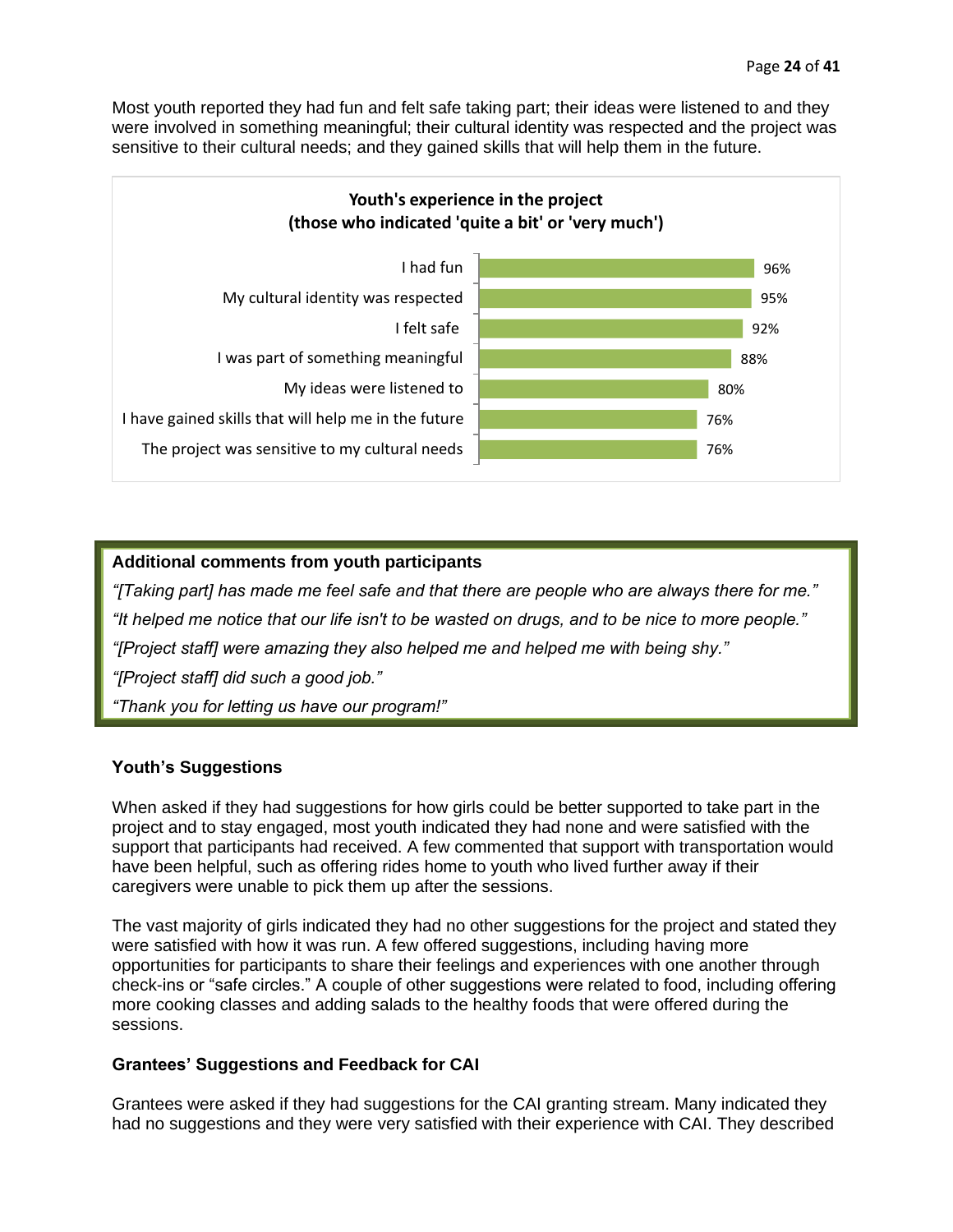Most youth reported they had fun and felt safe taking part; their ideas were listened to and they were involved in something meaningful; their cultural identity was respected and the project was sensitive to their cultural needs; and they gained skills that will help them in the future.



## **Additional comments from youth participants**

*"[Taking part] has made me feel safe and that there are people who are always there for me." "It helped me notice that our life isn't to be wasted on drugs, and to be nice to more people." "[Project staff] were amazing they also helped me and helped me with being shy." "[Project staff] did such a good job." "Thank you for letting us have our program!"*

## <span id="page-23-0"></span>**Youth's Suggestions**

When asked if they had suggestions for how girls could be better supported to take part in the project and to stay engaged, most youth indicated they had none and were satisfied with the support that participants had received. A few commented that support with transportation would have been helpful, such as offering rides home to youth who lived further away if their caregivers were unable to pick them up after the sessions.

The vast majority of girls indicated they had no other suggestions for the project and stated they were satisfied with how it was run. A few offered suggestions, including having more opportunities for participants to share their feelings and experiences with one another through check-ins or "safe circles." A couple of other suggestions were related to food, including offering more cooking classes and adding salads to the healthy foods that were offered during the sessions.

## <span id="page-23-1"></span>**Grantees' Suggestions and Feedback for CAI**

Grantees were asked if they had suggestions for the CAI granting stream. Many indicated they had no suggestions and they were very satisfied with their experience with CAI. They described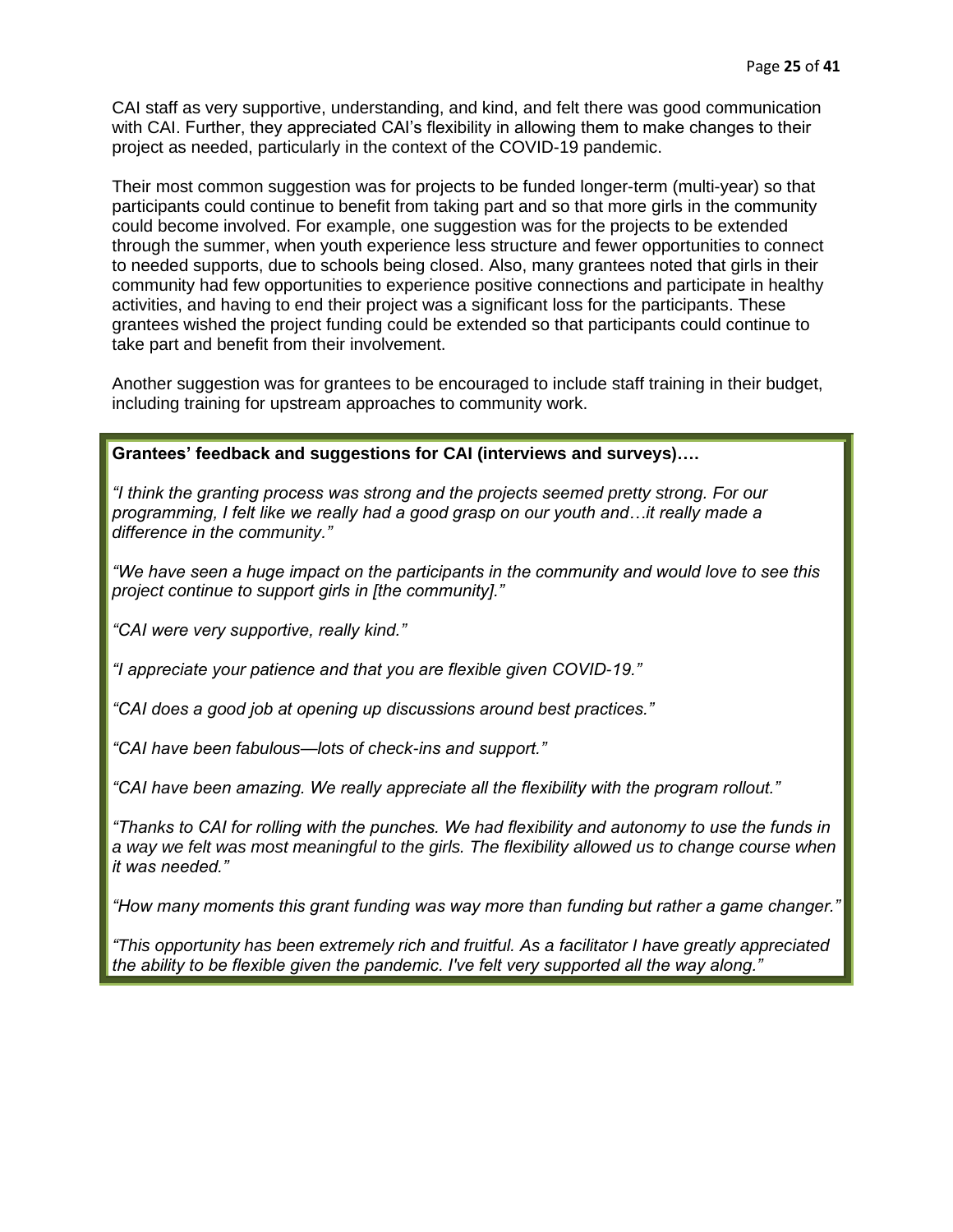CAI staff as very supportive, understanding, and kind, and felt there was good communication with CAI. Further, they appreciated CAI's flexibility in allowing them to make changes to their project as needed, particularly in the context of the COVID-19 pandemic.

Their most common suggestion was for projects to be funded longer-term (multi-year) so that participants could continue to benefit from taking part and so that more girls in the community could become involved. For example, one suggestion was for the projects to be extended through the summer, when youth experience less structure and fewer opportunities to connect to needed supports, due to schools being closed. Also, many grantees noted that girls in their community had few opportunities to experience positive connections and participate in healthy activities, and having to end their project was a significant loss for the participants. These grantees wished the project funding could be extended so that participants could continue to take part and benefit from their involvement.

Another suggestion was for grantees to be encouraged to include staff training in their budget, including training for upstream approaches to community work.

## **Grantees' feedback and suggestions for CAI (interviews and surveys)….**

*"I think the granting process was strong and the projects seemed pretty strong. For our programming, I felt like we really had a good grasp on our youth and…it really made a difference in the community."*

*"We have seen a huge impact on the participants in the community and would love to see this project continue to support girls in [the community]."*

*"CAI were very supportive, really kind."*

*"I appreciate your patience and that you are flexible given COVID-19."*

*"CAI does a good job at opening up discussions around best practices."*

*"CAI have been fabulous—lots of check-ins and support."*

*"CAI have been amazing. We really appreciate all the flexibility with the program rollout."* 

*"Thanks to CAI for rolling with the punches. We had flexibility and autonomy to use the funds in a way we felt was most meaningful to the girls. The flexibility allowed us to change course when it was needed."*

*"How many moments this grant funding was way more than funding but rather a game changer."*

*"This opportunity has been extremely rich and fruitful. As a facilitator I have greatly appreciated the ability to be flexible given the pandemic. I've felt very supported all the way along."*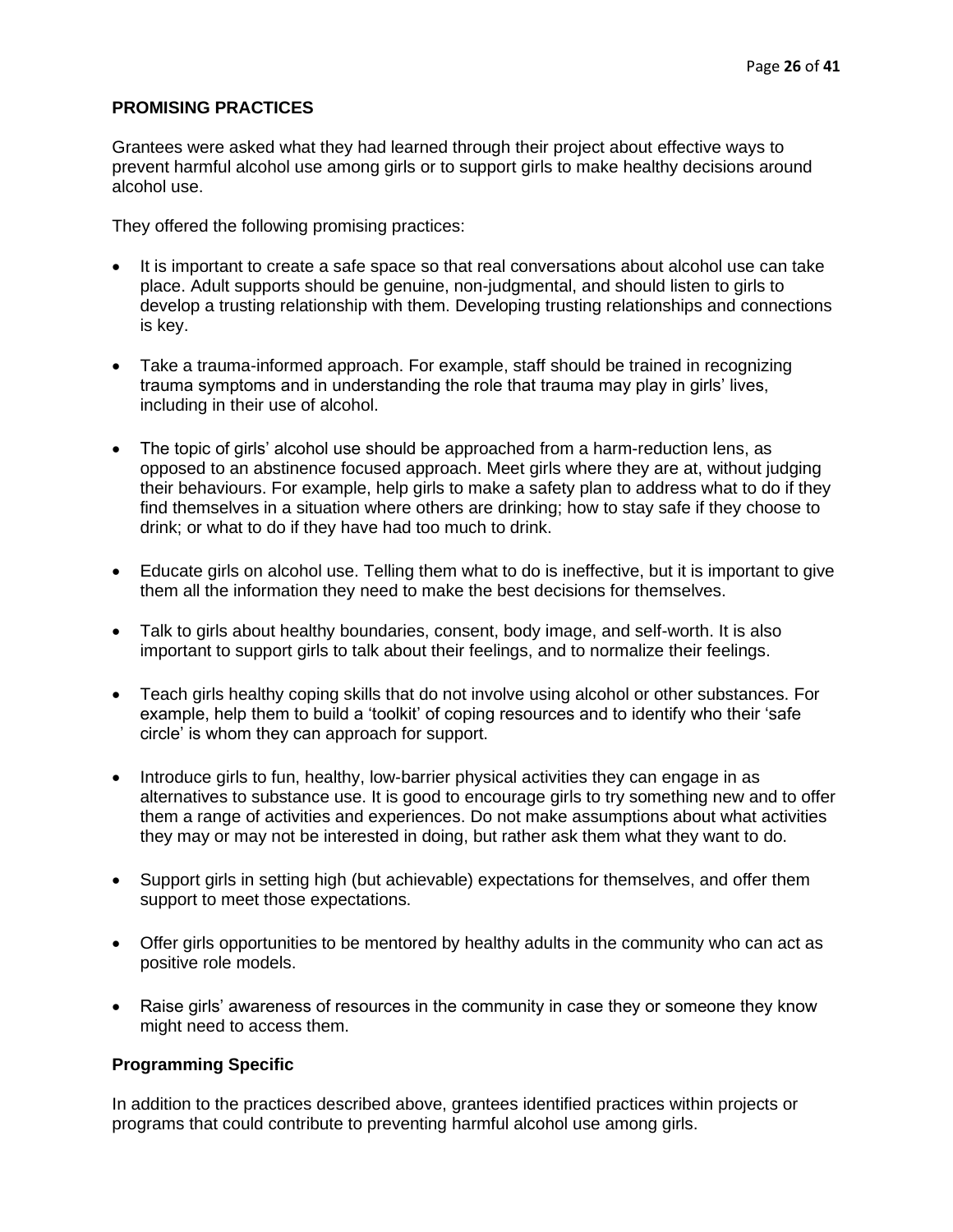#### <span id="page-25-0"></span>**PROMISING PRACTICES**

Grantees were asked what they had learned through their project about effective ways to prevent harmful alcohol use among girls or to support girls to make healthy decisions around alcohol use.

They offered the following promising practices:

- It is important to create a safe space so that real conversations about alcohol use can take place. Adult supports should be genuine, non-judgmental, and should listen to girls to develop a trusting relationship with them. Developing trusting relationships and connections is key.
- Take a trauma-informed approach. For example, staff should be trained in recognizing trauma symptoms and in understanding the role that trauma may play in girls' lives, including in their use of alcohol.
- The topic of girls' alcohol use should be approached from a harm-reduction lens, as opposed to an abstinence focused approach. Meet girls where they are at, without judging their behaviours. For example, help girls to make a safety plan to address what to do if they find themselves in a situation where others are drinking; how to stay safe if they choose to drink; or what to do if they have had too much to drink.
- Educate girls on alcohol use. Telling them what to do is ineffective, but it is important to give them all the information they need to make the best decisions for themselves.
- Talk to girls about healthy boundaries, consent, body image, and self-worth. It is also important to support girls to talk about their feelings, and to normalize their feelings.
- Teach girls healthy coping skills that do not involve using alcohol or other substances. For example, help them to build a 'toolkit' of coping resources and to identify who their 'safe circle' is whom they can approach for support.
- Introduce girls to fun, healthy, low-barrier physical activities they can engage in as alternatives to substance use. It is good to encourage girls to try something new and to offer them a range of activities and experiences. Do not make assumptions about what activities they may or may not be interested in doing, but rather ask them what they want to do.
- Support girls in setting high (but achievable) expectations for themselves, and offer them support to meet those expectations.
- Offer girls opportunities to be mentored by healthy adults in the community who can act as positive role models.
- Raise girls' awareness of resources in the community in case they or someone they know might need to access them.

#### **Programming Specific**

In addition to the practices described above, grantees identified practices within projects or programs that could contribute to preventing harmful alcohol use among girls.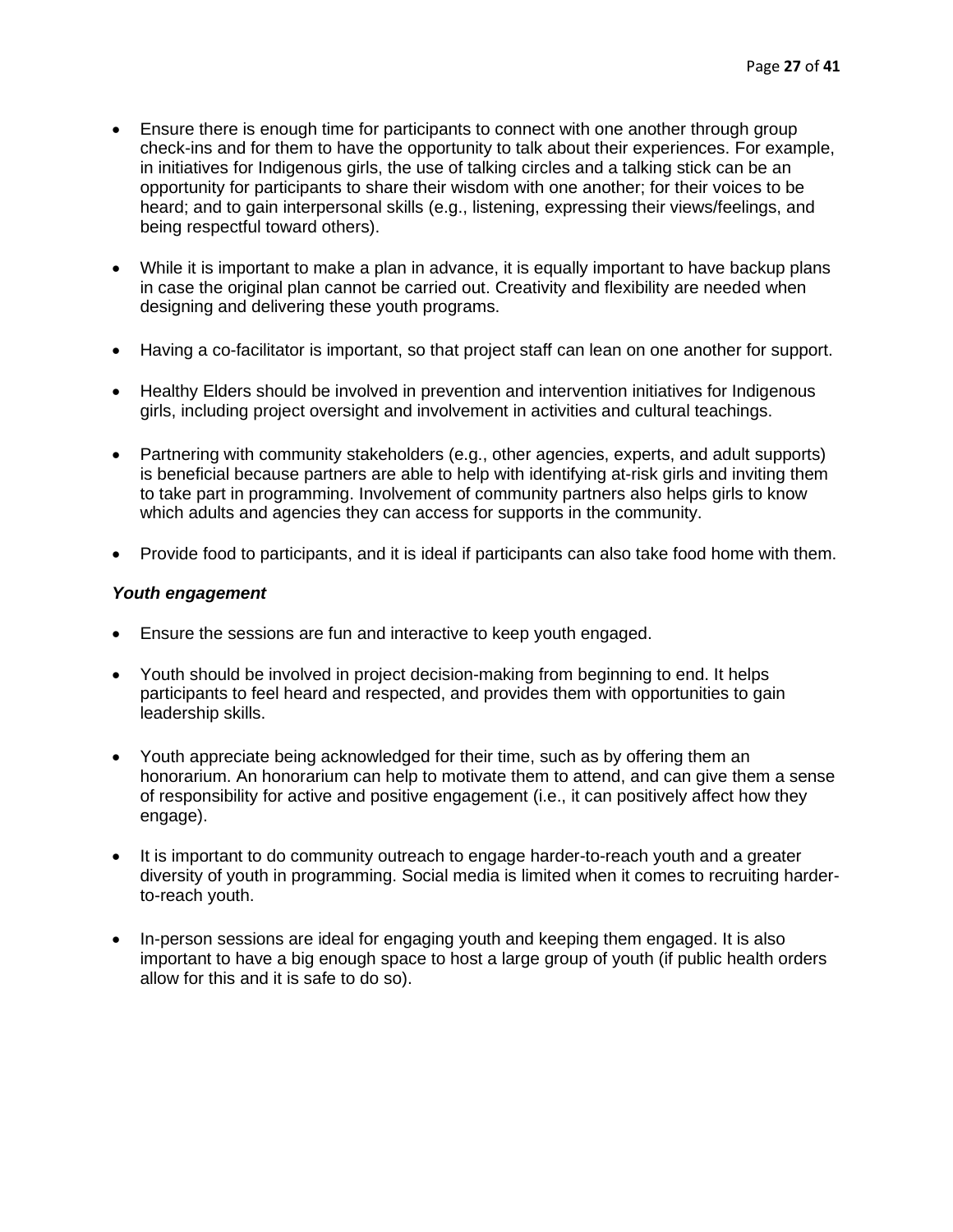- Ensure there is enough time for participants to connect with one another through group check-ins and for them to have the opportunity to talk about their experiences. For example, in initiatives for Indigenous girls, the use of talking circles and a talking stick can be an opportunity for participants to share their wisdom with one another; for their voices to be heard; and to gain interpersonal skills (e.g., listening, expressing their views/feelings, and being respectful toward others).
- While it is important to make a plan in advance, it is equally important to have backup plans in case the original plan cannot be carried out. Creativity and flexibility are needed when designing and delivering these youth programs.
- Having a co-facilitator is important, so that project staff can lean on one another for support.
- Healthy Elders should be involved in prevention and intervention initiatives for Indigenous girls, including project oversight and involvement in activities and cultural teachings.
- Partnering with community stakeholders (e.g., other agencies, experts, and adult supports) is beneficial because partners are able to help with identifying at-risk girls and inviting them to take part in programming. Involvement of community partners also helps girls to know which adults and agencies they can access for supports in the community.
- Provide food to participants, and it is ideal if participants can also take food home with them.

## *Youth engagement*

- Ensure the sessions are fun and interactive to keep youth engaged.
- Youth should be involved in project decision-making from beginning to end. It helps participants to feel heard and respected, and provides them with opportunities to gain leadership skills.
- Youth appreciate being acknowledged for their time, such as by offering them an honorarium. An honorarium can help to motivate them to attend, and can give them a sense of responsibility for active and positive engagement (i.e., it can positively affect how they engage).
- It is important to do community outreach to engage harder-to-reach youth and a greater diversity of youth in programming. Social media is limited when it comes to recruiting harderto-reach youth.
- In-person sessions are ideal for engaging youth and keeping them engaged. It is also important to have a big enough space to host a large group of youth (if public health orders allow for this and it is safe to do so).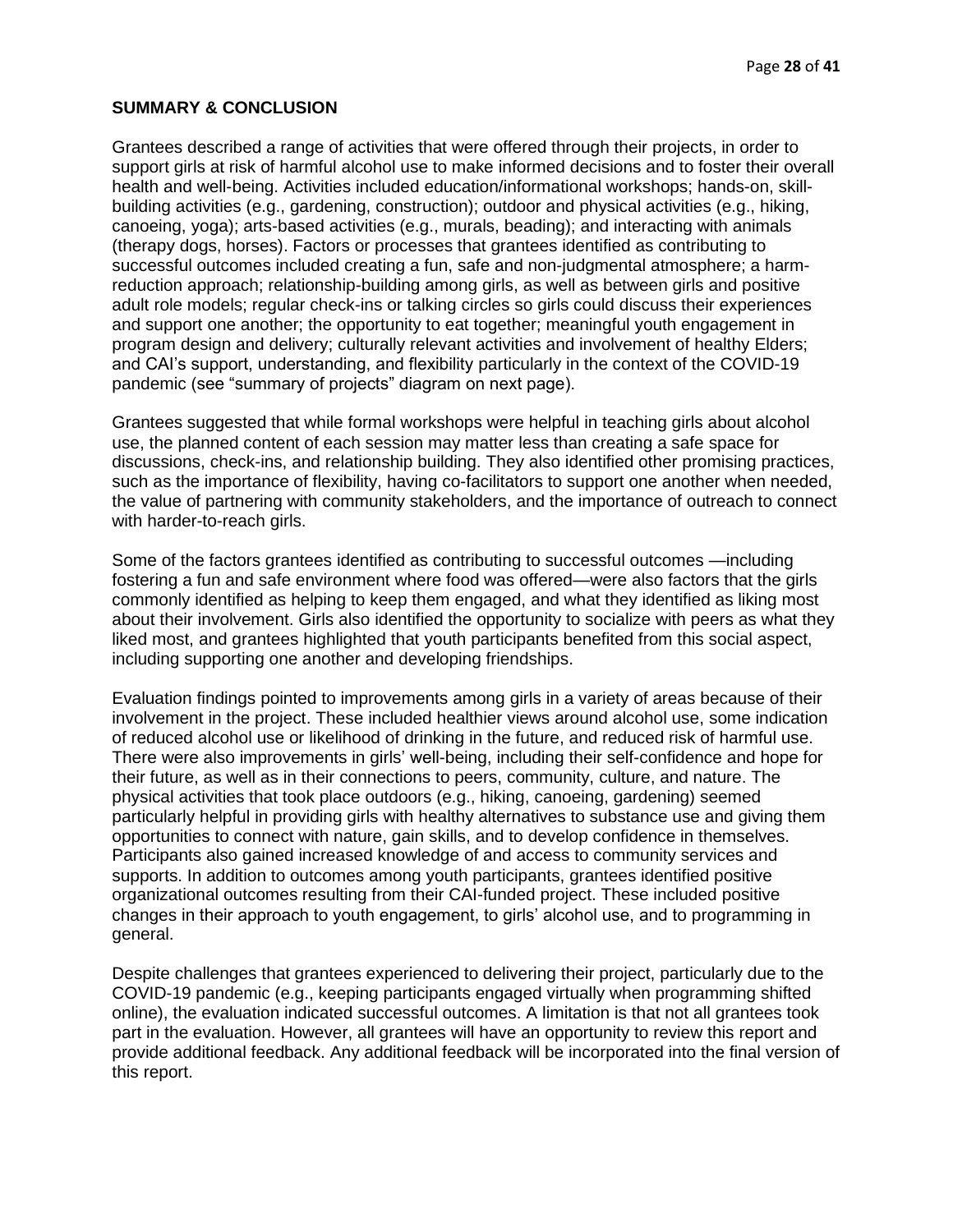#### <span id="page-27-0"></span>**SUMMARY & CONCLUSION**

Grantees described a range of activities that were offered through their projects, in order to support girls at risk of harmful alcohol use to make informed decisions and to foster their overall health and well-being. Activities included education/informational workshops; hands-on, skillbuilding activities (e.g., gardening, construction); outdoor and physical activities (e.g., hiking, canoeing, yoga); arts-based activities (e.g., murals, beading); and interacting with animals (therapy dogs, horses). Factors or processes that grantees identified as contributing to successful outcomes included creating a fun, safe and non-judgmental atmosphere; a harmreduction approach; relationship-building among girls, as well as between girls and positive adult role models; regular check-ins or talking circles so girls could discuss their experiences and support one another; the opportunity to eat together; meaningful youth engagement in program design and delivery; culturally relevant activities and involvement of healthy Elders; and CAI's support, understanding, and flexibility particularly in the context of the COVID-19 pandemic (see "summary of projects" diagram on next page).

Grantees suggested that while formal workshops were helpful in teaching girls about alcohol use, the planned content of each session may matter less than creating a safe space for discussions, check-ins, and relationship building. They also identified other promising practices, such as the importance of flexibility, having co-facilitators to support one another when needed, the value of partnering with community stakeholders, and the importance of outreach to connect with harder-to-reach girls.

Some of the factors grantees identified as contributing to successful outcomes —including fostering a fun and safe environment where food was offered—were also factors that the girls commonly identified as helping to keep them engaged, and what they identified as liking most about their involvement. Girls also identified the opportunity to socialize with peers as what they liked most, and grantees highlighted that youth participants benefited from this social aspect, including supporting one another and developing friendships.

Evaluation findings pointed to improvements among girls in a variety of areas because of their involvement in the project. These included healthier views around alcohol use, some indication of reduced alcohol use or likelihood of drinking in the future, and reduced risk of harmful use. There were also improvements in girls' well-being, including their self-confidence and hope for their future, as well as in their connections to peers, community, culture, and nature. The physical activities that took place outdoors (e.g., hiking, canoeing, gardening) seemed particularly helpful in providing girls with healthy alternatives to substance use and giving them opportunities to connect with nature, gain skills, and to develop confidence in themselves. Participants also gained increased knowledge of and access to community services and supports. In addition to outcomes among youth participants, grantees identified positive organizational outcomes resulting from their CAI-funded project. These included positive changes in their approach to youth engagement, to girls' alcohol use, and to programming in general.

Despite challenges that grantees experienced to delivering their project, particularly due to the COVID-19 pandemic (e.g., keeping participants engaged virtually when programming shifted online), the evaluation indicated successful outcomes. A limitation is that not all grantees took part in the evaluation. However, all grantees will have an opportunity to review this report and provide additional feedback. Any additional feedback will be incorporated into the final version of this report.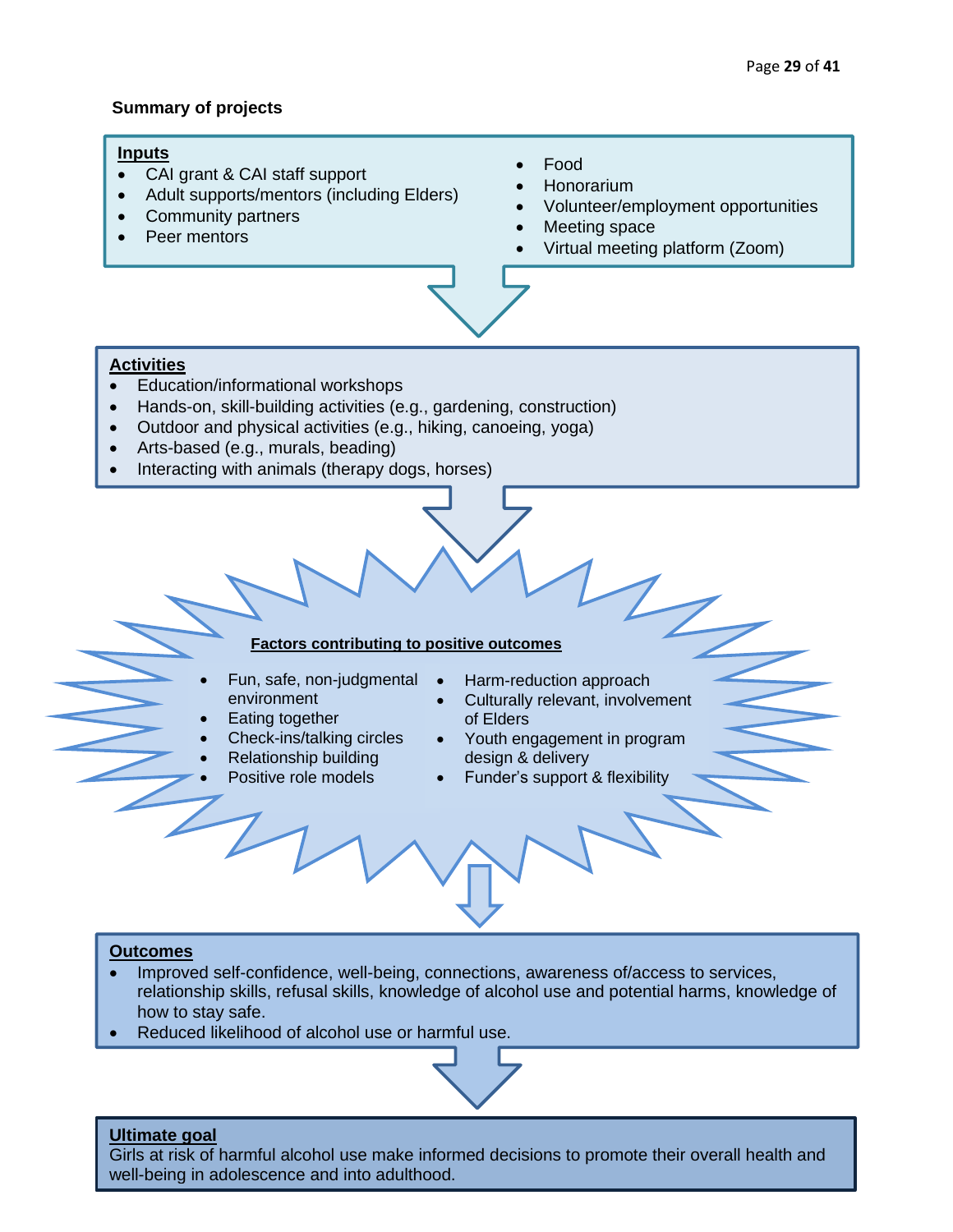## **Summary of projects**

## **Inputs**

- CAI grant & CAI staff support
- Adult supports/mentors (including Elders)
- Community partners
- **Peer mentors**
- Food
- Honorarium
- Volunteer/employment opportunities
- Meeting space
- Virtual meeting platform (Zoom)

#### **Activities**

- Education/informational workshops
- Hands-on, skill-building activities (e.g., gardening, construction)
- Outdoor and physical activities (e.g., hiking, canoeing, yoga)
- Arts-based (e.g., murals, beading)
- Interacting with animals (therapy dogs, horses)

**Factors contributing to positive outcomes**

- Fun, safe, non-judgmental environment
- Eating together
- Check-ins/talking circles
- Relationship building
- Positive role models
- Harm-reduction approach
- Culturally relevant, involvement of Elders
- Youth engagement in program design & delivery
- Funder's support & flexibility

#### **Outcomes**

- Improved self-confidence, well-being, connections, awareness of/access to services, relationship skills, refusal skills, knowledge of alcohol use and potential harms, knowledge of how to stay safe.
- Reduced likelihood of alcohol use or harmful use.



## **Ultimate goal**

Girls at risk of harmful alcohol use make informed decisions to promote their overall health and well-being in adolescence and into adulthood.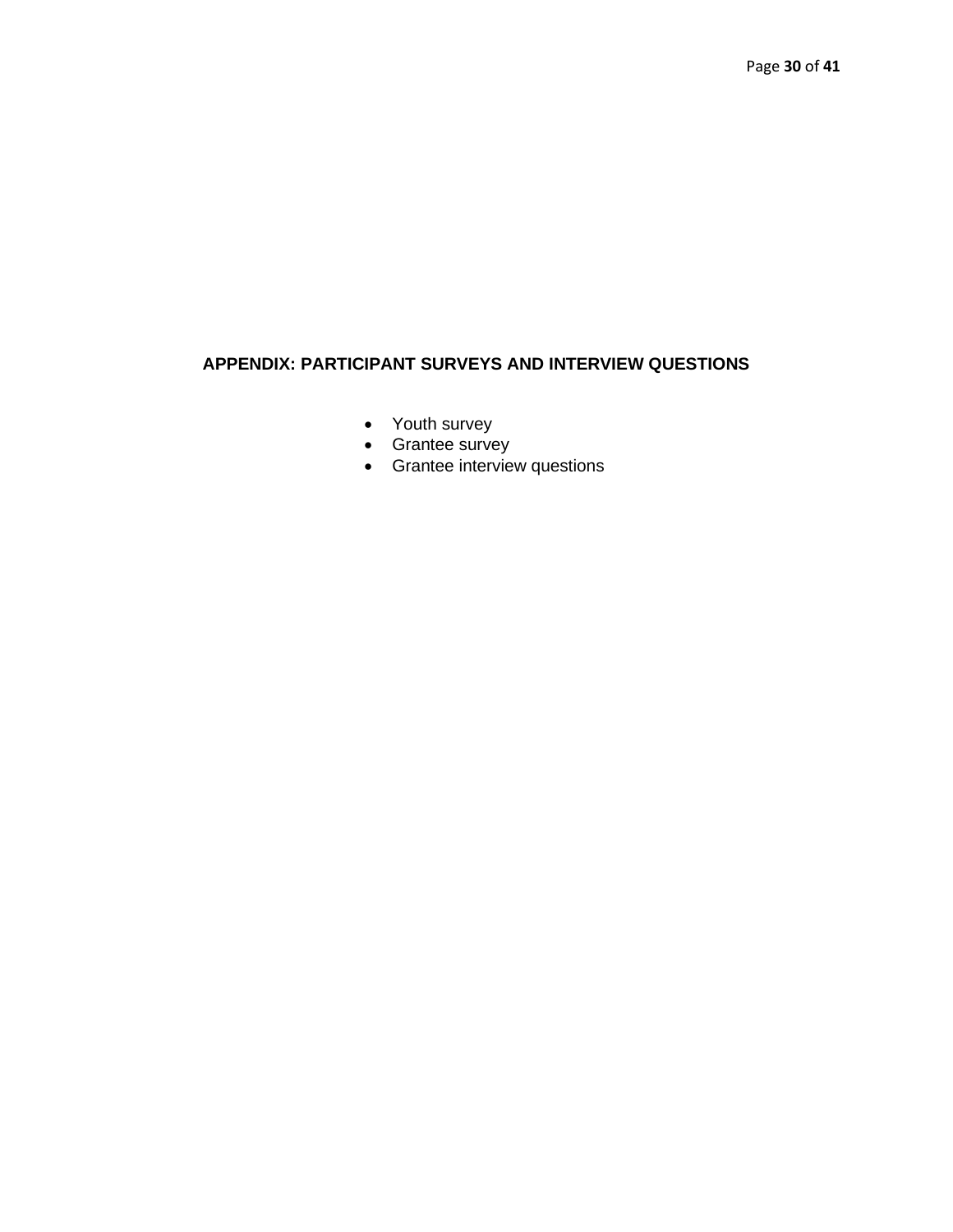# <span id="page-29-0"></span>**APPENDIX: PARTICIPANT SURVEYS AND INTERVIEW QUESTIONS**

- Youth survey
- Grantee survey
- Grantee interview questions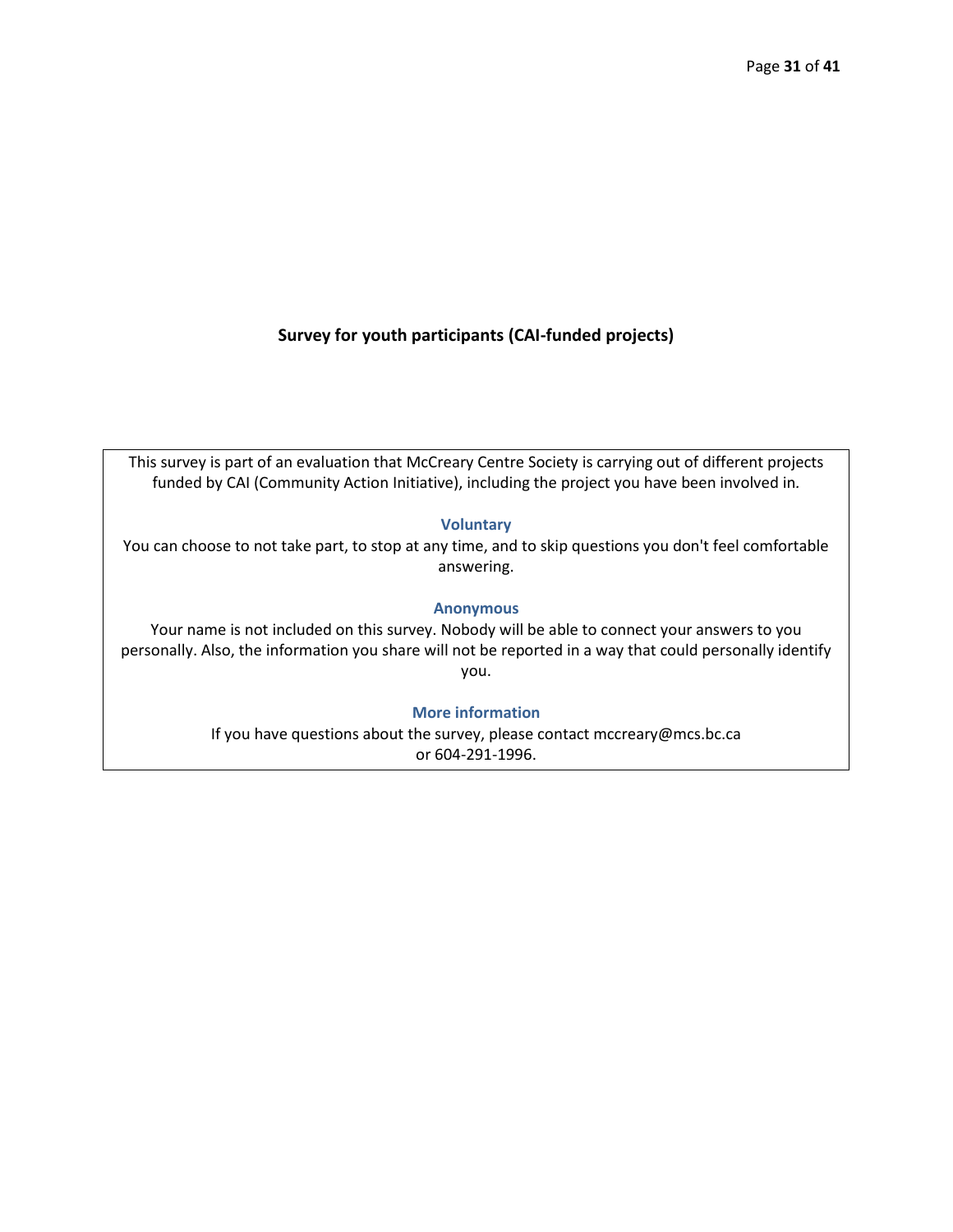## **Survey for youth participants (CAI-funded projects)**

This survey is part of an evaluation that McCreary Centre Society is carrying out of different projects funded by CAI (Community Action Initiative), including the project you have been involved in*.*

#### **Voluntary**

You can choose to not take part, to stop at any time, and to skip questions you don't feel comfortable answering.

#### **Anonymous**

Your name is not included on this survey. Nobody will be able to connect your answers to you personally. Also, the information you share will not be reported in a way that could personally identify you.

#### **More information**

If you have questions about the survey, please contact mccreary@mcs.bc.ca or 604-291-1996.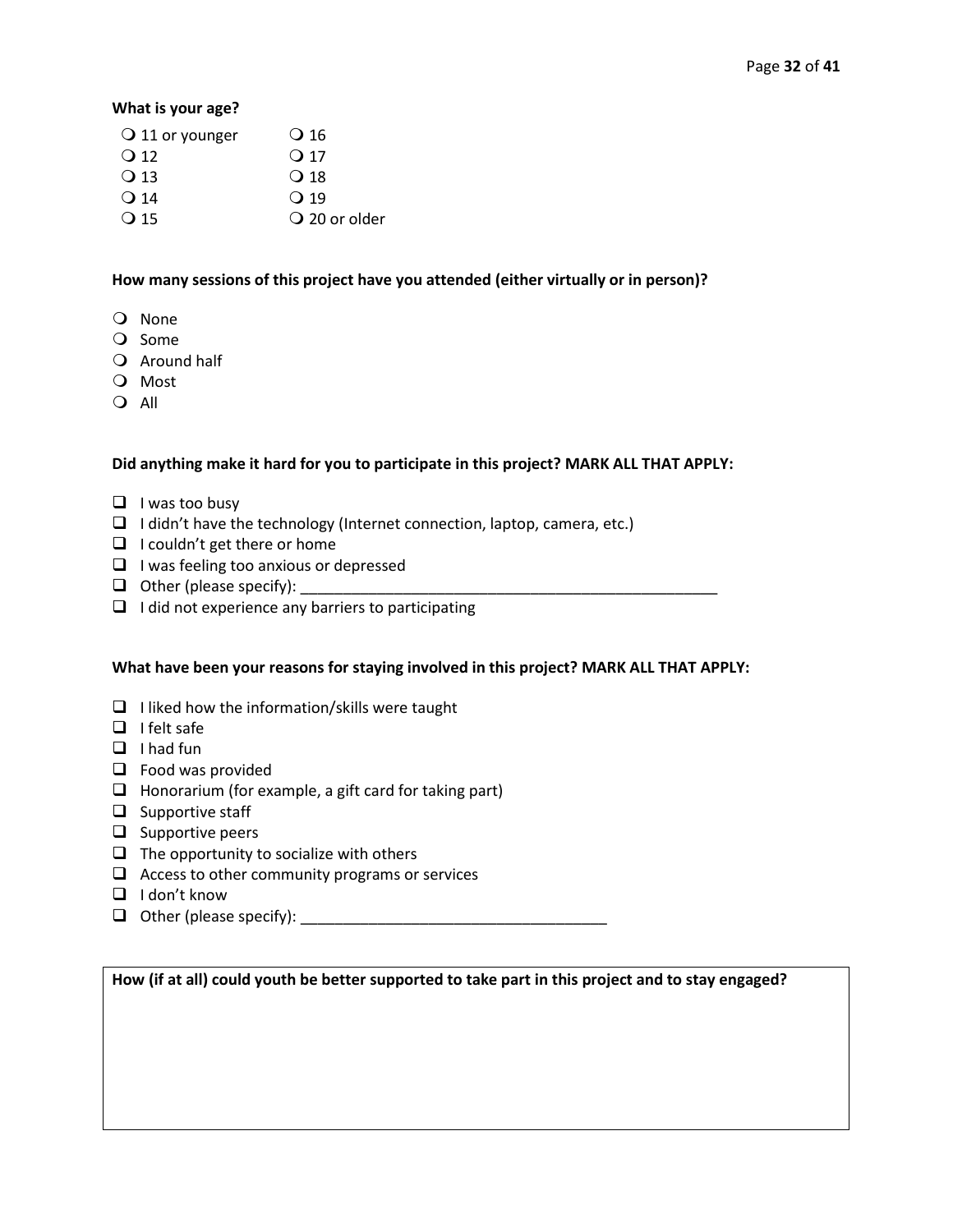#### **What is your age?**

| $\bigcirc$ 11 or younger | $\overline{\mathrm{O}}$ 16 |
|--------------------------|----------------------------|
| $\bigcirc$ 12            | $\Omega$ 17                |
| $\Omega$ 13              | $\Omega$ 18                |
| $\Omega$ 14              | $\Omega$ 19                |
| $\Omega$ 15              | $\overline{O}$ 20 or older |
|                          |                            |

#### **How many sessions of this project have you attended (either virtually or in person)?**

- Q None
- O Some
- Q Around half
- O Most
- O All

## **Did anything make it hard for you to participate in this project? MARK ALL THAT APPLY:**

- ❑ I was too busy
- ❑ I didn't have the technology (Internet connection, laptop, camera, etc.)
- ❑ I couldn't get there or home
- ❑ I was feeling too anxious or depressed
- $\Box$  Other (please specify):
- $\Box$  I did not experience any barriers to participating

## **What have been your reasons for staying involved in this project? MARK ALL THAT APPLY:**

- ❑ I liked how the information/skills were taught
- ❑ I felt safe
- ❑ I had fun
- ❑ Food was provided
- ❑ Honorarium (for example, a gift card for taking part)
- ❑ Supportive staff
- ❑ Supportive peers
- $\Box$  The opportunity to socialize with others
- $\Box$  Access to other community programs or services
- ❑ I don't know
- ❑ Other (please specify): \_\_\_\_\_\_\_\_\_\_\_\_\_\_\_\_\_\_\_\_\_\_\_\_\_\_\_\_\_\_\_\_\_\_\_\_

**How (if at all) could youth be better supported to take part in this project and to stay engaged?**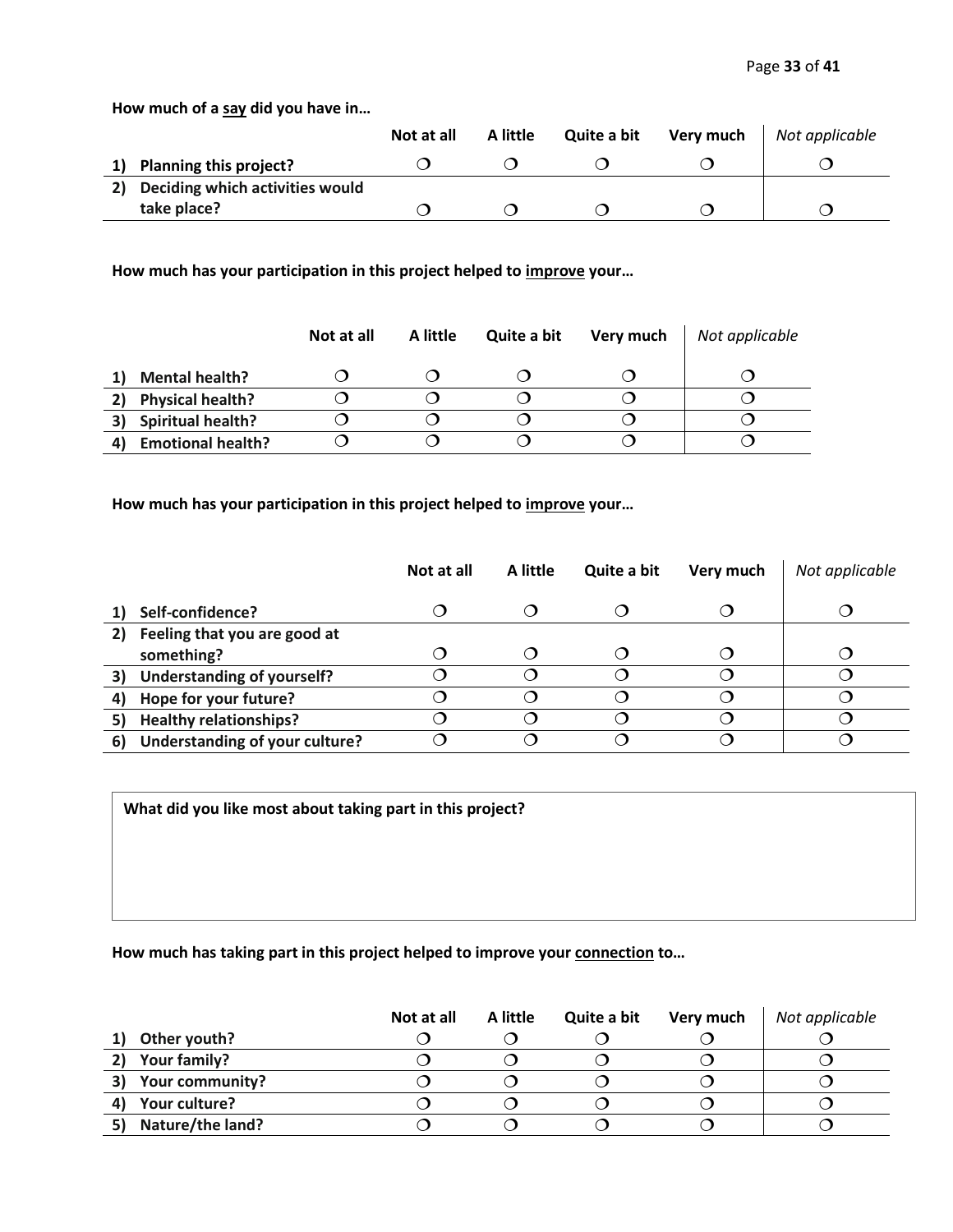**How much of a say did you have in…**

|    |                                 | Not at all | A little | Quite a bit | Very much | Not applicable |
|----|---------------------------------|------------|----------|-------------|-----------|----------------|
|    | Planning this project?          |            |          |             |           |                |
| 2) | Deciding which activities would |            |          |             |           |                |
|    | take place?                     |            |          |             |           |                |

**How much has your participation in this project helped to improve your…**

|    |                          | Not at all | A little | Quite a bit | Very much | Not applicable |
|----|--------------------------|------------|----------|-------------|-----------|----------------|
|    | <b>Mental health?</b>    |            |          |             |           |                |
| 2) | <b>Physical health?</b>  |            |          |             |           |                |
| 3) | <b>Spiritual health?</b> |            |          |             |           |                |
|    | <b>Emotional health?</b> |            |          |             |           |                |

**How much has your participation in this project helped to improve your…**

|    |                                   | Not at all | A little | Quite a bit | Very much | Not applicable |
|----|-----------------------------------|------------|----------|-------------|-----------|----------------|
|    | Self-confidence?                  |            |          |             |           |                |
| 2) | Feeling that you are good at      |            |          |             |           |                |
|    | something?                        |            |          |             |           |                |
| 3) | <b>Understanding of yourself?</b> |            |          | ำ           |           |                |
| 4) | Hope for your future?             |            |          | Э           |           |                |
|    | <b>Healthy relationships?</b>     |            |          | ำ           |           |                |
| 6) | Understanding of your culture?    |            |          |             |           |                |

**What did you like most about taking part in this project?**

**How much has taking part in this project helped to improve your connection to…**

|                       | Not at all | A little | Quite a bit | Very much | Not applicable |
|-----------------------|------------|----------|-------------|-----------|----------------|
| Other youth?          |            |          |             |           |                |
| Your family?          |            |          |             |           |                |
| 3)<br>Your community? |            |          |             |           |                |
| Your culture?         |            |          |             |           |                |
| Nature/the land?      |            |          |             |           |                |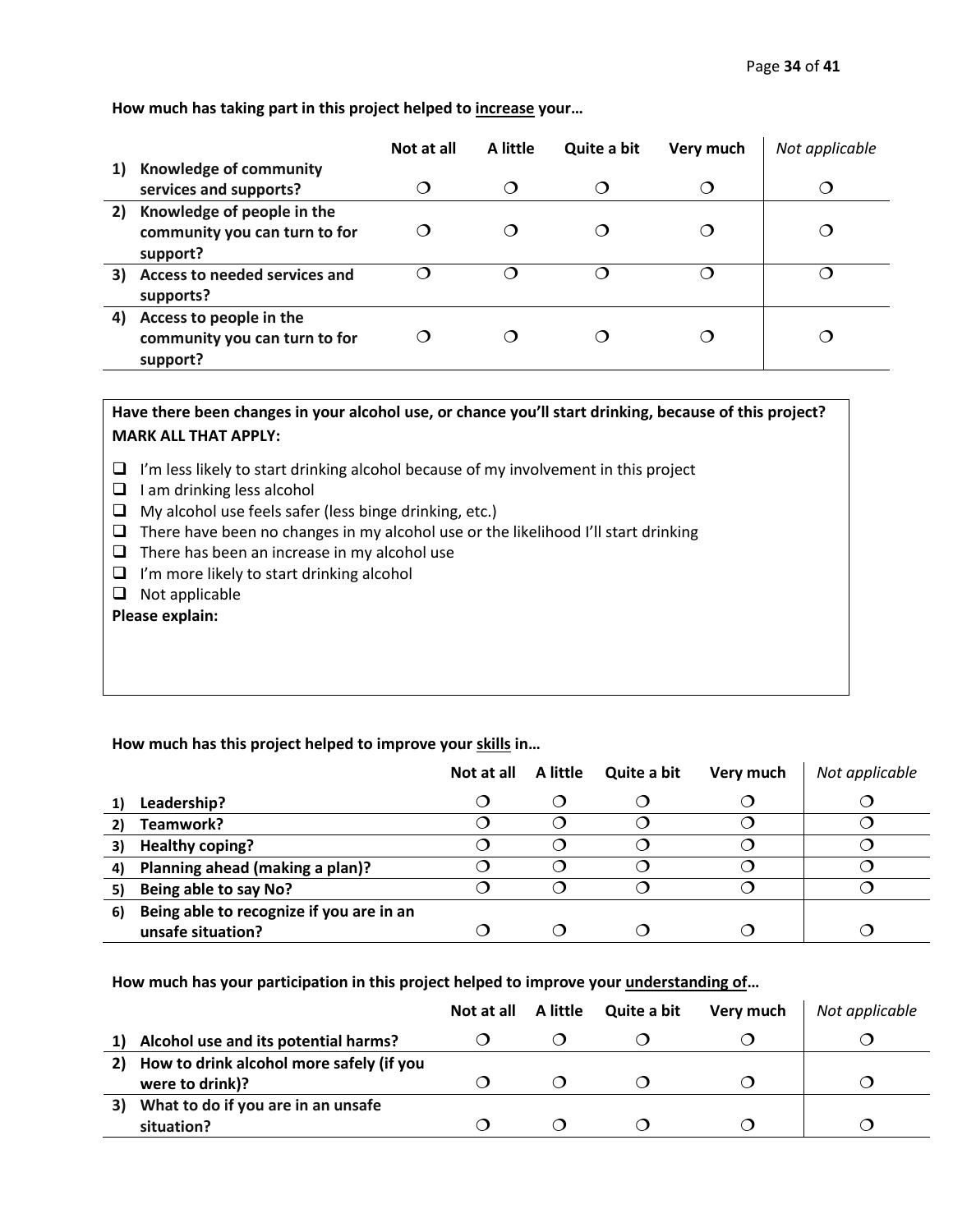**How much has taking part in this project helped to increase your…**

|    |                               | Not at all | A little | Quite a bit | Very much | Not applicable         |
|----|-------------------------------|------------|----------|-------------|-----------|------------------------|
| 1) | Knowledge of community        |            |          |             |           |                        |
|    | services and supports?        | ( )        | ◯        | 0           |           | $\left( \quad \right)$ |
| 2) | Knowledge of people in the    |            |          |             |           |                        |
|    | community you can turn to for |            | Ω        |             |           |                        |
|    | support?                      |            |          |             |           |                        |
| 3) | Access to needed services and |            | ∩        |             |           |                        |
|    | supports?                     |            |          |             |           |                        |
| 4) | Access to people in the       |            |          |             |           |                        |
|    | community you can turn to for |            |          |             |           |                        |
|    | support?                      |            |          |             |           |                        |

**Have there been changes in your alcohol use, or chance you'll start drinking, because of this project? MARK ALL THAT APPLY:**

- ❑ I'm less likely to start drinking alcohol because of my involvement in this project
- ❑ I am drinking less alcohol
- ❑ My alcohol use feels safer (less binge drinking, etc.)
- ❑ There have been no changes in my alcohol use or the likelihood I'll start drinking
- $\Box$  There has been an increase in my alcohol use
- ❑ I'm more likely to start drinking alcohol
- ❑ Not applicable

**Please explain:**

## **How much has this project helped to improve your skills in…**

|    |                                          | Not at all A little | Quite a bit | Very much | Not applicable |
|----|------------------------------------------|---------------------|-------------|-----------|----------------|
|    | Leadership?                              |                     |             |           |                |
|    | Teamwork?                                |                     |             |           |                |
|    | <b>Healthy coping?</b>                   |                     |             |           |                |
| 4) | Planning ahead (making a plan)?          |                     |             |           |                |
| 5) | Being able to say No?                    |                     |             |           |                |
| 6) | Being able to recognize if you are in an |                     |             |           |                |
|    | unsafe situation?                        |                     |             |           |                |

**How much has your participation in this project helped to improve your understanding of…**

|    |                                                             |  | Not at all A little Quite a bit | Very much | Not applicable |
|----|-------------------------------------------------------------|--|---------------------------------|-----------|----------------|
|    | Alcohol use and its potential harms?                        |  |                                 |           |                |
| 2) | How to drink alcohol more safely (if you<br>were to drink)? |  |                                 |           |                |
| 3) | What to do if you are in an unsafe<br>situation?            |  |                                 |           |                |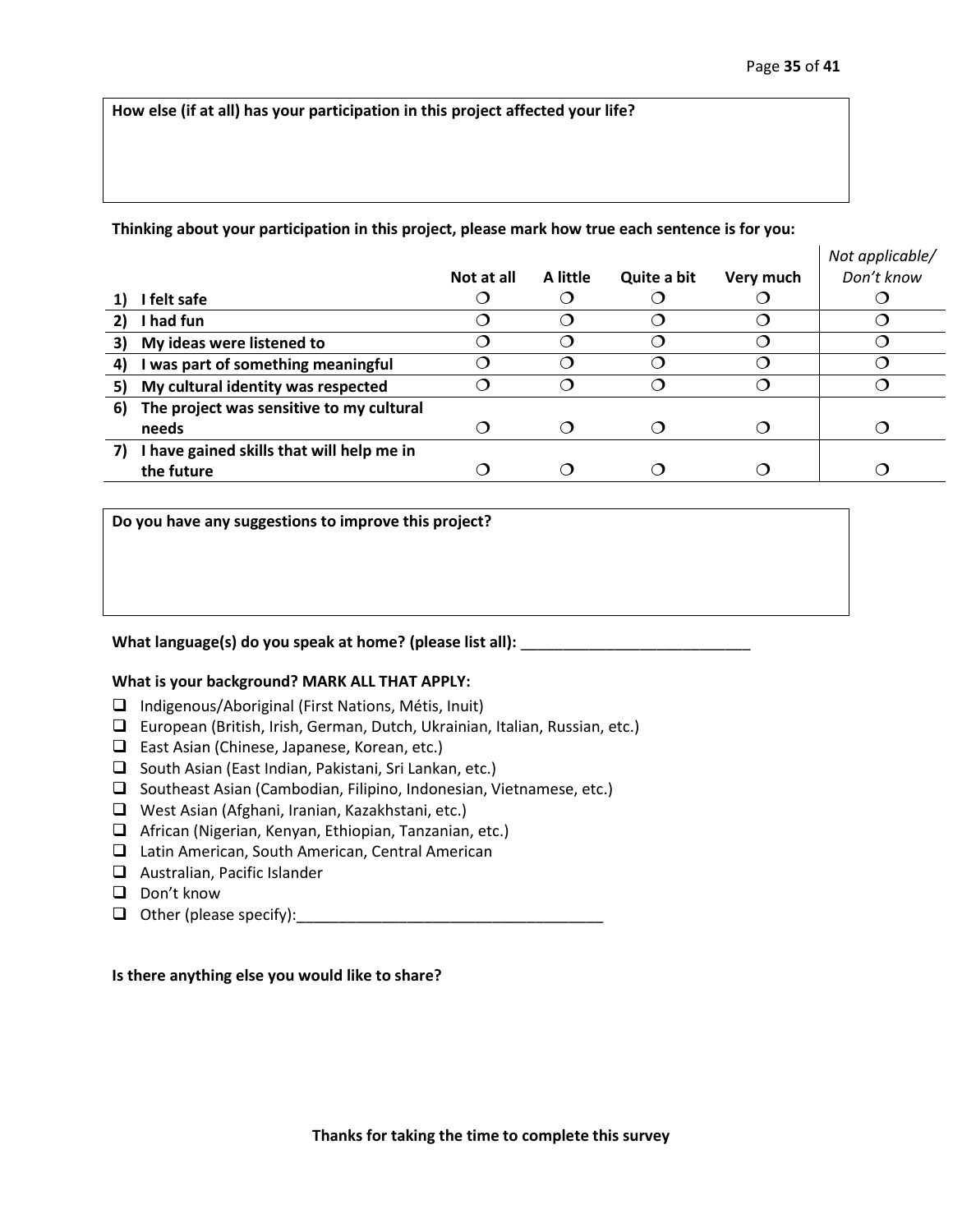**How else (if at all) has your participation in this project affected your life?** 

#### **Thinking about your participation in this project, please mark how true each sentence is for you:**

|                                           | Not at all | A little | Quite a bit | Very much | Not applicable/<br>Don't know |
|-------------------------------------------|------------|----------|-------------|-----------|-------------------------------|
| I felt safe                               |            |          |             |           |                               |
| I had fun                                 |            |          |             |           |                               |
| My ideas were listened to                 |            |          |             |           |                               |
| I was part of something meaningful        |            |          |             |           |                               |
| My cultural identity was respected        |            |          |             |           |                               |
| The project was sensitive to my cultural  |            |          |             |           |                               |
| needs                                     |            | . .      |             |           |                               |
| I have gained skills that will help me in |            |          |             |           |                               |
| the future                                |            |          |             |           |                               |
|                                           |            |          |             |           |                               |

**Do you have any suggestions to improve this project?**

#### **What language(s) do you speak at home? (please list all):** \_\_\_\_\_\_\_\_\_\_\_\_\_\_\_\_\_\_\_\_\_\_\_\_\_\_\_

#### **What is your background? MARK ALL THAT APPLY:**

- ❑ Indigenous/Aboriginal (First Nations, Métis, Inuit)
- ❑ European (British, Irish, German, Dutch, Ukrainian, Italian, Russian, etc.)
- ❑ East Asian (Chinese, Japanese, Korean, etc.)
- ❑ South Asian (East Indian, Pakistani, Sri Lankan, etc.)
- ❑ Southeast Asian (Cambodian, Filipino, Indonesian, Vietnamese, etc.)
- ❑ West Asian (Afghani, Iranian, Kazakhstani, etc.)
- ❑ African (Nigerian, Kenyan, Ethiopian, Tanzanian, etc.)
- ❑ Latin American, South American, Central American
- ❑ Australian, Pacific Islander
- ❑ Don't know
- $\Box$  Other (please specify):

#### **Is there anything else you would like to share?**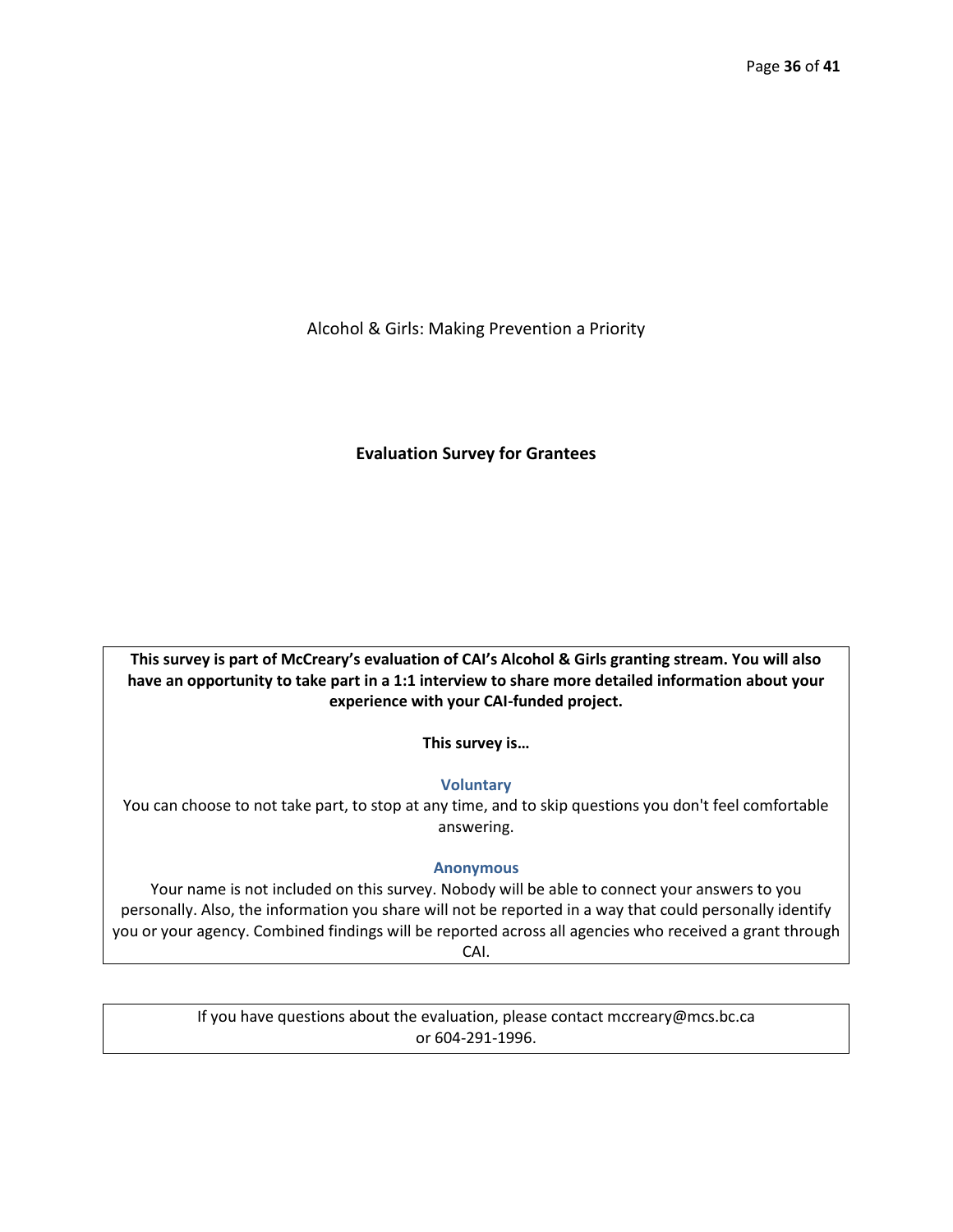Alcohol & Girls: Making Prevention a Priority

## **Evaluation Survey for Grantees**

**This survey is part of McCreary's evaluation of CAI's Alcohol & Girls granting stream. You will also have an opportunity to take part in a 1:1 interview to share more detailed information about your experience with your CAI-funded project.** 

**This survey is…**

## **Voluntary**

You can choose to not take part, to stop at any time, and to skip questions you don't feel comfortable answering.

## **Anonymous**

Your name is not included on this survey. Nobody will be able to connect your answers to you personally. Also, the information you share will not be reported in a way that could personally identify you or your agency. Combined findings will be reported across all agencies who received a grant through CAI.

> If you have questions about the evaluation, please contact mccreary@mcs.bc.ca or 604-291-1996.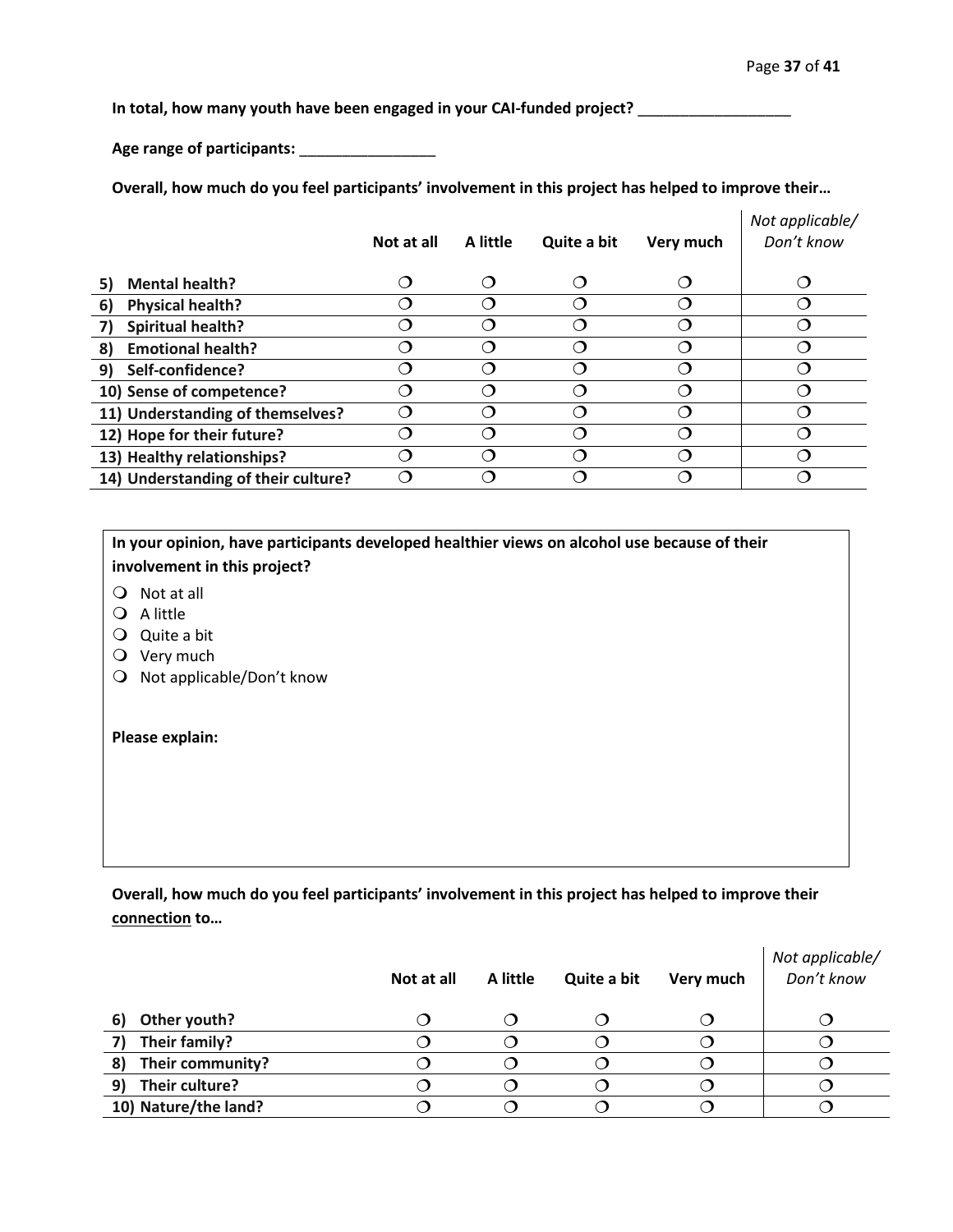**In total, how many youth have been engaged in your CAI-funded project?** \_\_\_\_\_\_\_\_\_\_\_\_\_\_\_\_\_\_

**Age range of participants:** \_\_\_\_\_\_\_\_\_\_\_\_\_\_\_\_

**Overall, how much do you feel participants' involvement in this project has helped to improve their…**

|                                     | Not at all | A little         | Quite a bit | Very much | Not applicable/<br>Don't know |
|-------------------------------------|------------|------------------|-------------|-----------|-------------------------------|
| <b>Mental health?</b><br>5)         | ◯          | ∩                |             | $\cap$    | ∩                             |
| <b>Physical health?</b><br>6)       |            | ∩                |             |           |                               |
| <b>Spiritual health?</b>            |            | $\cap$           |             |           |                               |
| <b>Emotional health?</b><br>8)      | ( 1        | $\left( \right)$ |             |           |                               |
| Self-confidence?<br>9)              | 0          | $\cap$           |             |           |                               |
| 10) Sense of competence?            | O          | ◯                |             |           |                               |
| 11) Understanding of themselves?    |            |                  |             |           |                               |
| 12) Hope for their future?          |            | ⌒                |             |           |                               |
| 13) Healthy relationships?          |            | ⌒                |             |           |                               |
| 14) Understanding of their culture? | ⌒          | ◯                |             |           |                               |
|                                     |            |                  |             |           |                               |

**In your opinion, have participants developed healthier views on alcohol use because of their involvement in this project?**

- Not at all
- Q A little
- Quite a bit
- O Very much
- O Not applicable/Don't know

#### **Please explain:**

**Overall, how much do you feel participants' involvement in this project has helped to improve their connection to…**

|                        | Not at all | A little | Quite a bit | Very much | Not applicable/<br>Don't know |
|------------------------|------------|----------|-------------|-----------|-------------------------------|
| Other youth?<br>6)     |            |          |             |           |                               |
| Their family?<br>7)    |            |          |             |           |                               |
| Their community?<br>8) |            |          |             |           |                               |
| Their culture?<br>9)   |            |          |             |           |                               |
| 10) Nature/the land?   |            |          |             |           |                               |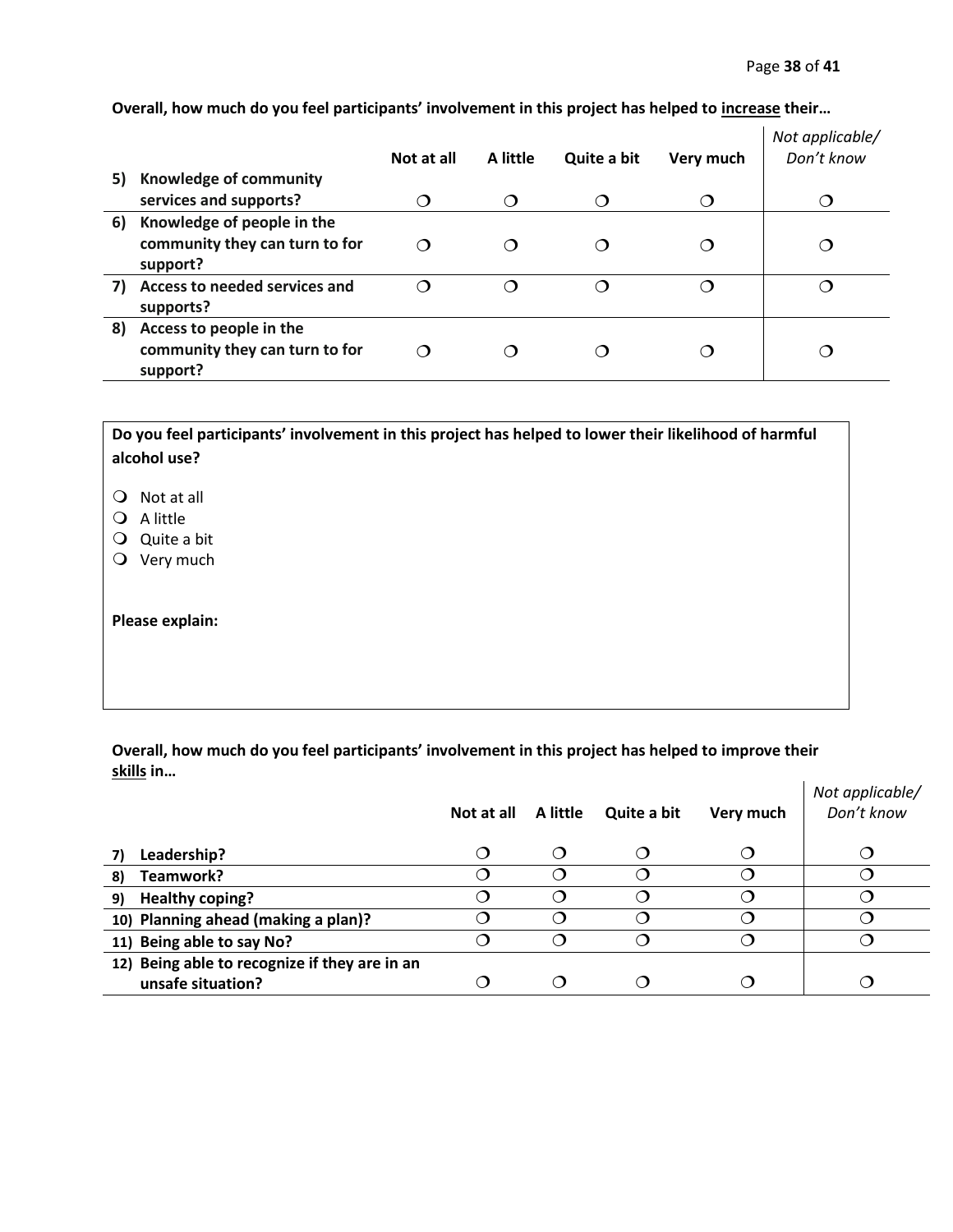|    |                                | Not at all | A little               | Quite a bit | Very much   | Not applicable/<br>Don't know |
|----|--------------------------------|------------|------------------------|-------------|-------------|-------------------------------|
| 5) | Knowledge of community         |            |                        |             |             |                               |
|    | services and supports?         | ◠          | $\bigcap$              | ⌒           | $\mathbf C$ |                               |
| 6) | Knowledge of people in the     |            |                        |             |             |                               |
|    | community they can turn to for | ∩          |                        | ာ           | Э           |                               |
|    | support?                       |            |                        |             |             |                               |
| 7) | Access to needed services and  | ◠          |                        | ∍           | ◠           |                               |
|    | supports?                      |            |                        |             |             |                               |
| 8) | Access to people in the        |            |                        |             |             |                               |
|    | community they can turn to for | ◠          | $\left( \quad \right)$ |             |             |                               |
|    | support?                       |            |                        |             |             |                               |

**Overall, how much do you feel participants' involvement in this project has helped to increase their…**

# **Do you feel participants' involvement in this project has helped to lower their likelihood of harmful alcohol use?**

- Q Not at all
- $Q$  A little
- Quite a bit
- Very much

**Please explain:**

**Overall, how much do you feel participants' involvement in this project has helped to improve their skills in…**

|                                               | Not at all | A little         | Quite a bit | Very much | Not applicable/<br>Don't know |
|-----------------------------------------------|------------|------------------|-------------|-----------|-------------------------------|
| Leadership?                                   |            | $\left( \right)$ |             | O         | Э.                            |
| Teamwork?<br>8)                               | ∩          |                  |             |           |                               |
| <b>Healthy coping?</b><br>9)                  |            |                  |             |           |                               |
| 10) Planning ahead (making a plan)?           |            |                  |             |           |                               |
| 11) Being able to say No?                     |            |                  |             | Ω         |                               |
| 12) Being able to recognize if they are in an |            |                  |             |           |                               |
| unsafe situation?                             |            |                  |             |           |                               |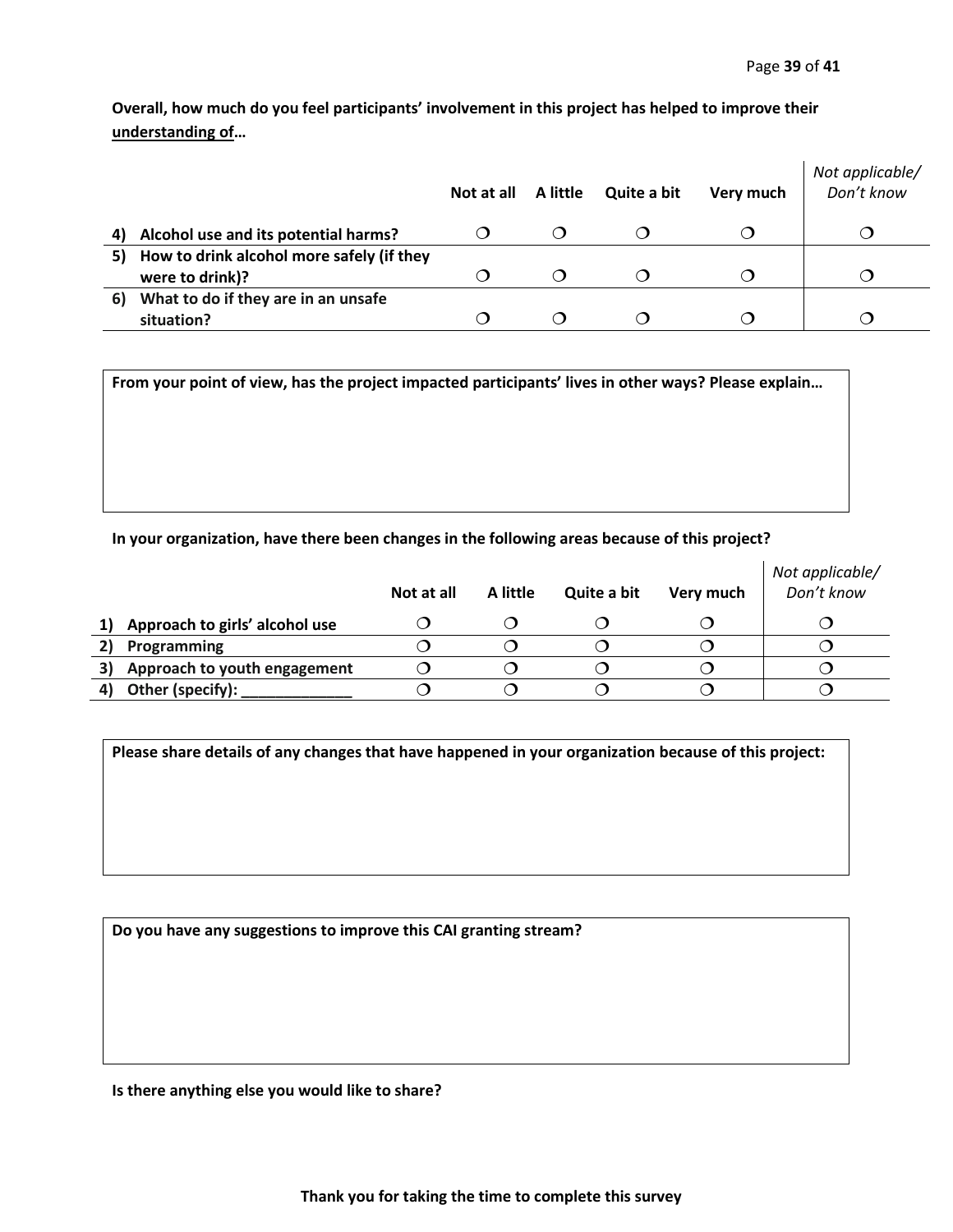**Overall, how much do you feel participants' involvement in this project has helped to improve their understanding of…**

|    |                                           | Not at all | A little | Quite a bit | Very much | Not applicable/<br>Don't know |
|----|-------------------------------------------|------------|----------|-------------|-----------|-------------------------------|
|    | Alcohol use and its potential harms?      |            |          |             |           |                               |
| 5) | How to drink alcohol more safely (if they |            |          |             |           |                               |
|    | were to drink)?                           |            |          |             |           |                               |
| 6) | What to do if they are in an unsafe       |            |          |             |           |                               |
|    | situation?                                |            |          |             |           |                               |

**From your point of view, has the project impacted participants' lives in other ways? Please explain…**

**In your organization, have there been changes in the following areas because of this project?**

|                                | Not at all | A little | Quite a bit | Very much | Not applicable/<br>Don't know |
|--------------------------------|------------|----------|-------------|-----------|-------------------------------|
| Approach to girls' alcohol use |            |          |             |           |                               |
| Programming                    |            |          |             |           |                               |
| Approach to youth engagement   |            |          |             |           |                               |
| Other (specify):               |            |          |             |           |                               |

**Please share details of any changes that have happened in your organization because of this project:**

**Do you have any suggestions to improve this CAI granting stream?**

**Is there anything else you would like to share?**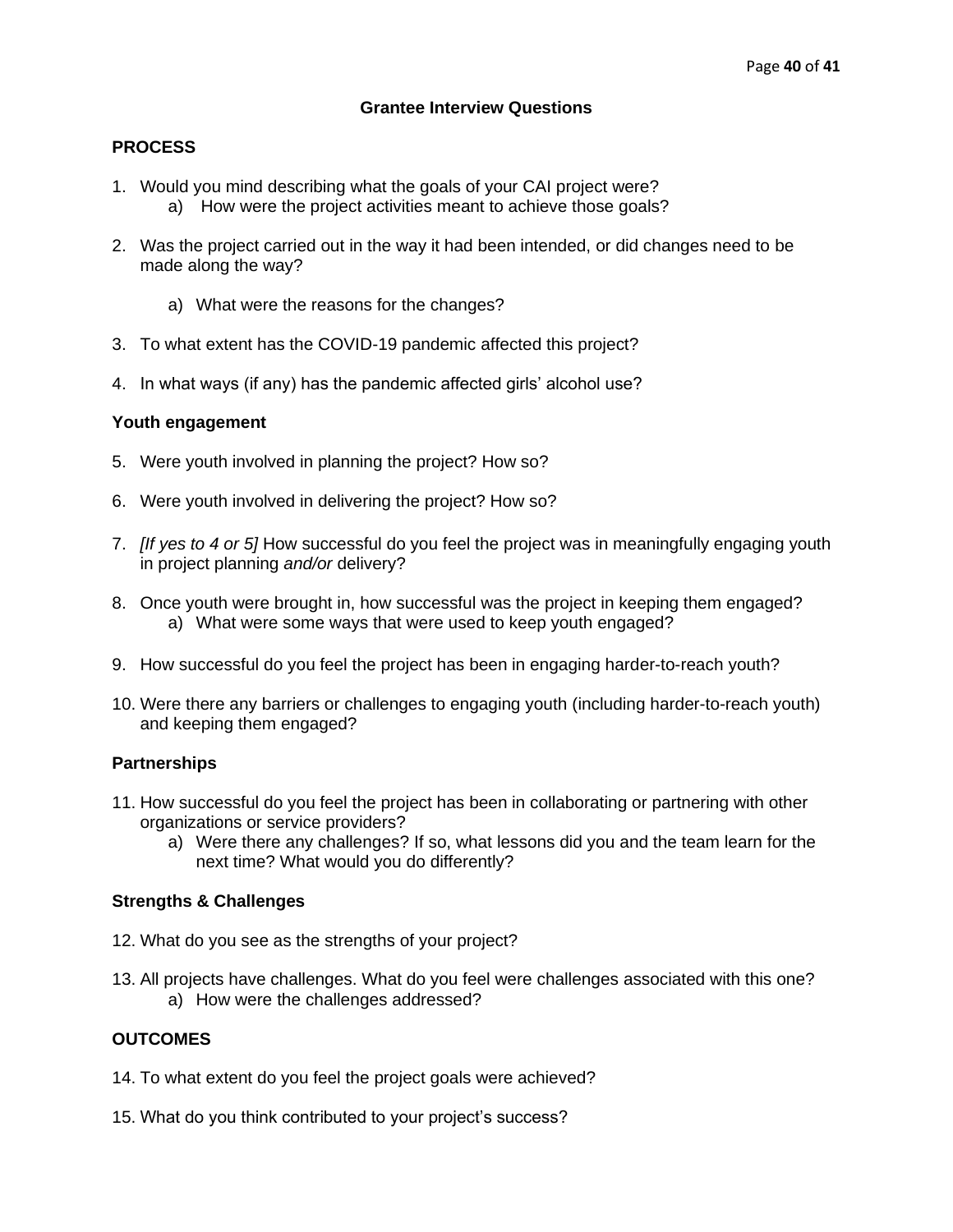## **Grantee Interview Questions**

## **PROCESS**

- 1. Would you mind describing what the goals of your CAI project were? a) How were the project activities meant to achieve those goals?
- 2. Was the project carried out in the way it had been intended, or did changes need to be made along the way?
	- a) What were the reasons for the changes?
- 3. To what extent has the COVID-19 pandemic affected this project?
- 4. In what ways (if any) has the pandemic affected girls' alcohol use?

## **Youth engagement**

- 5. Were youth involved in planning the project? How so?
- 6. Were youth involved in delivering the project? How so?
- 7. *[If yes to 4 or 5]* How successful do you feel the project was in meaningfully engaging youth in project planning *and/or* delivery?
- 8. Once youth were brought in, how successful was the project in keeping them engaged? a) What were some ways that were used to keep youth engaged?
- 9. How successful do you feel the project has been in engaging harder-to-reach youth?
- 10. Were there any barriers or challenges to engaging youth (including harder-to-reach youth) and keeping them engaged?

## **Partnerships**

- 11. How successful do you feel the project has been in collaborating or partnering with other organizations or service providers?
	- a) Were there any challenges? If so, what lessons did you and the team learn for the next time? What would you do differently?

## **Strengths & Challenges**

- 12. What do you see as the strengths of your project?
- 13. All projects have challenges. What do you feel were challenges associated with this one? a) How were the challenges addressed?

## **OUTCOMES**

- 14. To what extent do you feel the project goals were achieved?
- 15. What do you think contributed to your project's success?